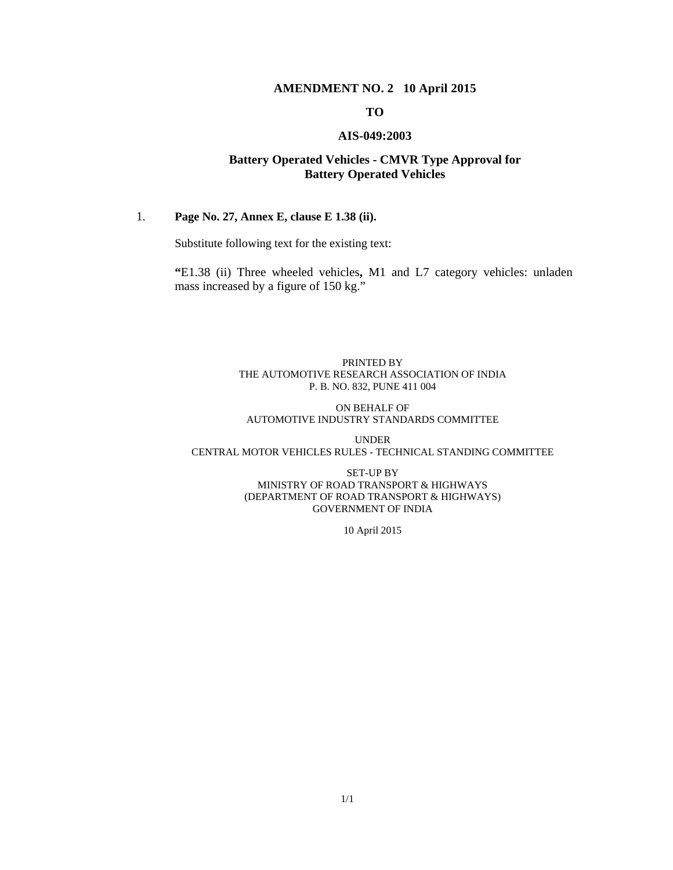#### **AMENDMENT NO. 2 10 April 2015**

#### **TO**

#### **AIS-049:2003**

#### **Battery Operated Vehicles - CMVR Type Approval for Battery Operated Vehicles**

#### 1. **Page No. 27, Annex E, clause E 1.38 (ii).**

Substitute following text for the existing text:

**"**E1.38 (ii) Three wheeled vehicles**,** M1 and L7 category vehicles: unladen mass increased by a figure of 150 kg."

#### PRINTED BY THE AUTOMOTIVE RESEARCH ASSOCIATION OF INDIA P. B. NO. 832, PUNE 411 004

#### ON BEHALF OF AUTOMOTIVE INDUSTRY STANDARDS COMMITTEE

UNDER CENTRAL MOTOR VEHICLES RULES - TECHNICAL STANDING COMMITTEE

> SET-UP BY MINISTRY OF ROAD TRANSPORT & HIGHWAYS (DEPARTMENT OF ROAD TRANSPORT & HIGHWAYS) GOVERNMENT OF INDIA

> > 10 April 2015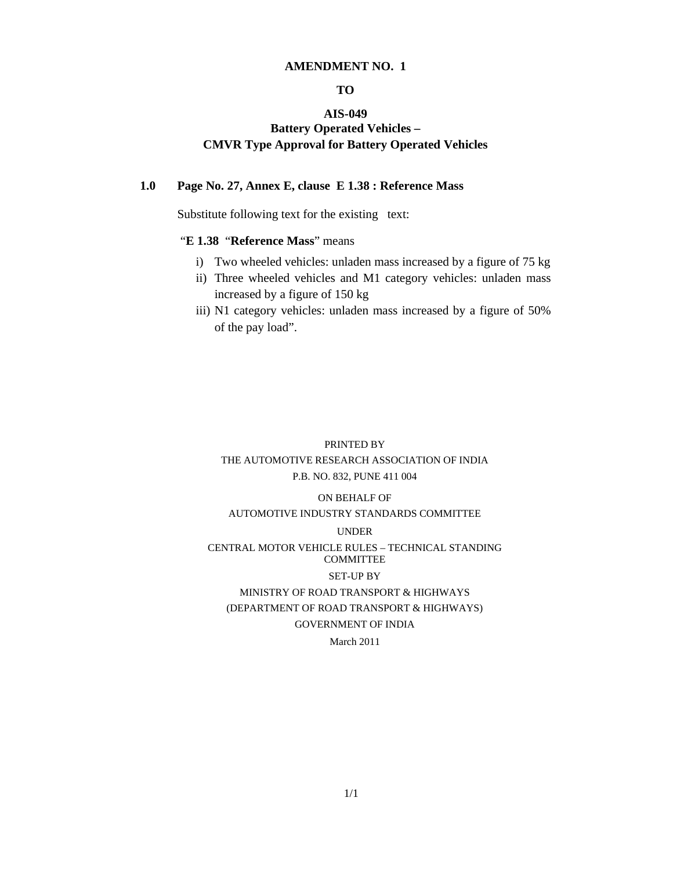#### **AMENDMENT NO. 1**

#### **TO**

#### **AIS-049**

#### **Battery Operated Vehicles – CMVR Type Approval for Battery Operated Vehicles**

#### **1.0 Page No. 27, Annex E, clause E 1.38 : Reference Mass**

Substitute following text for the existing text:

#### "**E 1.38** "**Reference Mass**" means

- i) Two wheeled vehicles: unladen mass increased by a figure of 75 kg
- ii) Three wheeled vehicles and M1 category vehicles: unladen mass increased by a figure of 150 kg
- iii) N1 category vehicles: unladen mass increased by a figure of 50% of the pay load".

### PRINTED BY THE AUTOMOTIVE RESEARCH ASSOCIATION OF INDIA P.B. NO. 832, PUNE 411 004

#### ON BEHALF OF

#### AUTOMOTIVE INDUSTRY STANDARDS COMMITTEE

#### UNDER

#### CENTRAL MOTOR VEHICLE RULES – TECHNICAL STANDING COMMITTEE

#### SET-UP BY

#### MINISTRY OF ROAD TRANSPORT & HIGHWAYS (DEPARTMENT OF ROAD TRANSPORT & HIGHWAYS) GOVERNMENT OF INDIA

#### March 2011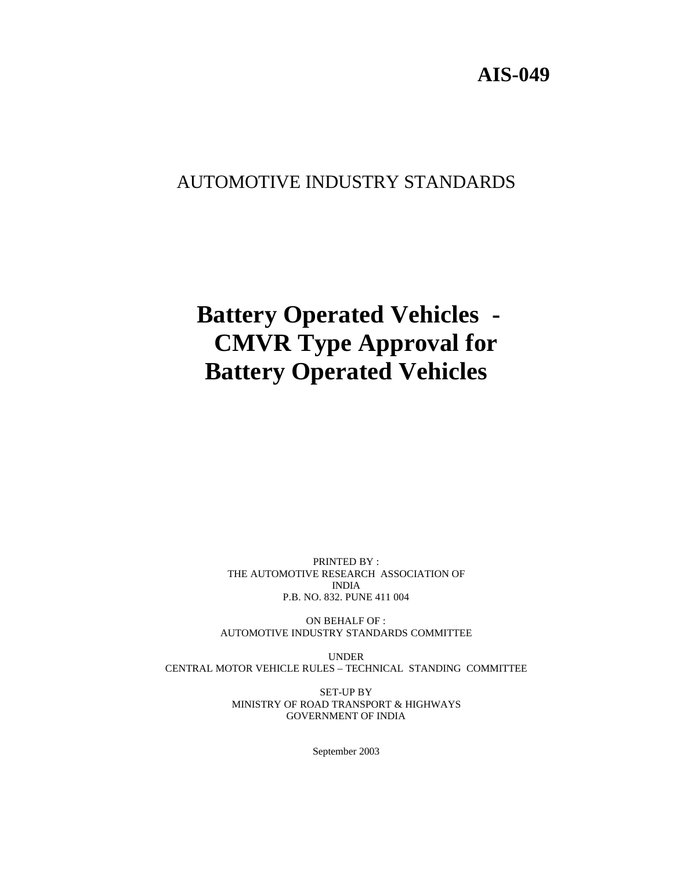### **AIS-049**

### AUTOMOTIVE INDUSTRY STANDARDS

# **Battery Operated Vehicles - CMVR Type Approval for Battery Operated Vehicles**

PRINTED BY : THE AUTOMOTIVE RESEARCH ASSOCIATION OF INDIA P.B. NO. 832. PUNE 411 004

ON BEHALF OF : AUTOMOTIVE INDUSTRY STANDARDS COMMITTEE

UNDER CENTRAL MOTOR VEHICLE RULES – TECHNICAL STANDING COMMITTEE

> SET-UP BY MINISTRY OF ROAD TRANSPORT & HIGHWAYS GOVERNMENT OF INDIA

> > September 2003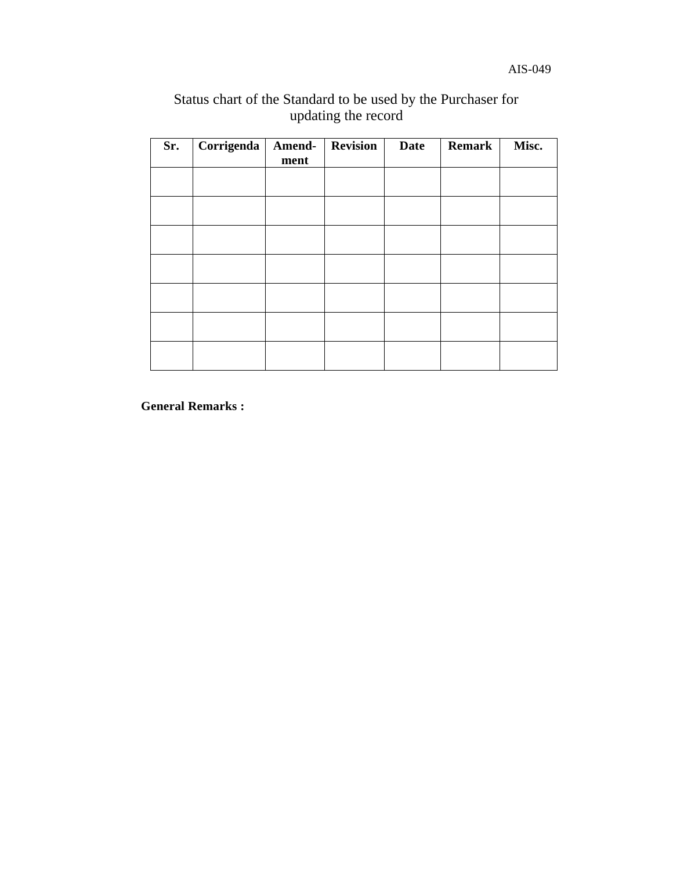### Status chart of the Standard to be used by the Purchaser for updating the record

| Sr. | <b>Corrigenda</b> | ment | Amend- Revision | <b>Date</b> | <b>Remark</b> | Misc. |
|-----|-------------------|------|-----------------|-------------|---------------|-------|
|     |                   |      |                 |             |               |       |
|     |                   |      |                 |             |               |       |
|     |                   |      |                 |             |               |       |
|     |                   |      |                 |             |               |       |
|     |                   |      |                 |             |               |       |
|     |                   |      |                 |             |               |       |
|     |                   |      |                 |             |               |       |

**General Remarks :**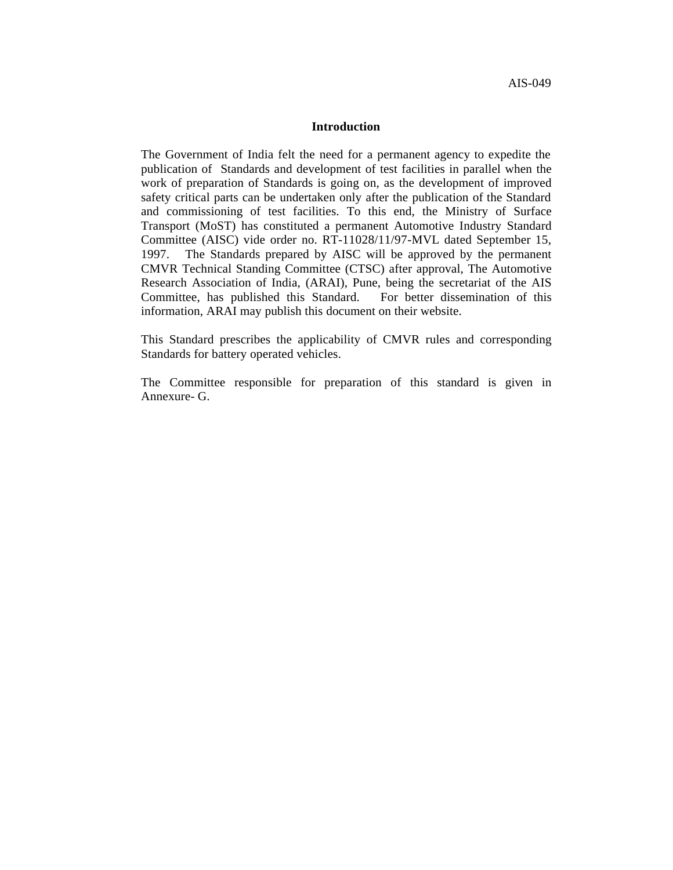#### **Introduction**

The Government of India felt the need for a permanent agency to expedite the publication of Standards and development of test facilities in parallel when the work of preparation of Standards is going on, as the development of improved safety critical parts can be undertaken only after the publication of the Standard and commissioning of test facilities. To this end, the Ministry of Surface Transport (MoST) has constituted a permanent Automotive Industry Standard Committee (AISC) vide order no. RT-11028/11/97-MVL dated September 15, 1997. The Standards prepared by AISC will be approved by the permanent CMVR Technical Standing Committee (CTSC) after approval, The Automotive Research Association of India, (ARAI), Pune, being the secretariat of the AIS Committee, has published this Standard. For better dissemination of this information, ARAI may publish this document on their website.

This Standard prescribes the applicability of CMVR rules and corresponding Standards for battery operated vehicles.

The Committee responsible for preparation of this standard is given in Annexure- G.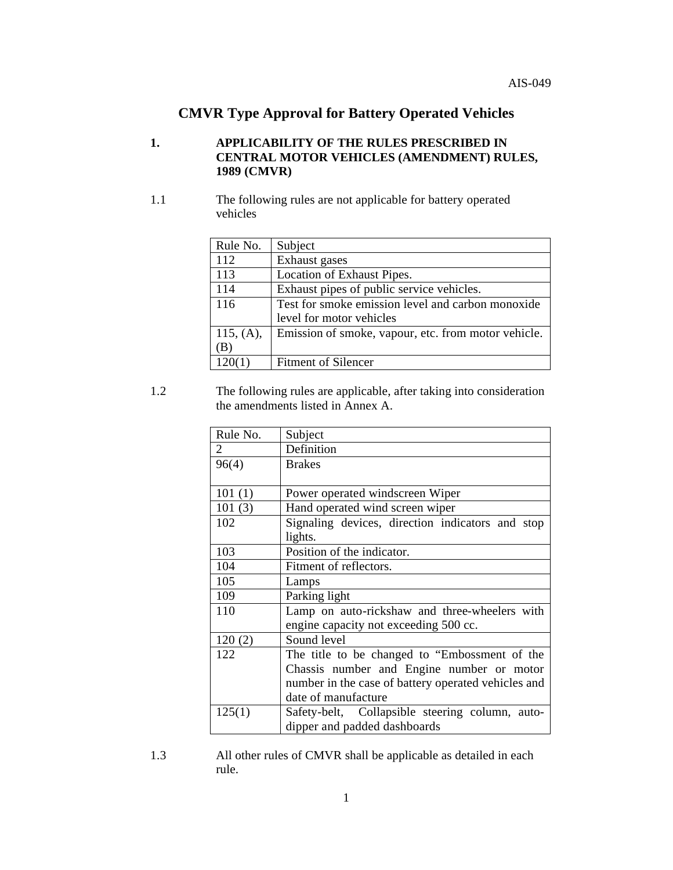### **CMVR Type Approval for Battery Operated Vehicles**

#### **1. APPLICABILITY OF THE RULES PRESCRIBED IN CENTRAL MOTOR VEHICLES (AMENDMENT) RULES, 1989 (CMVR)**

1.1 The following rules are not applicable for battery operated vehicles

| Rule No.  | Subject                                             |
|-----------|-----------------------------------------------------|
| 112       | Exhaust gases                                       |
| 113       | Location of Exhaust Pipes.                          |
| 114       | Exhaust pipes of public service vehicles.           |
| 116       | Test for smoke emission level and carbon monoxide   |
|           | level for motor vehicles                            |
| 115, (A), | Emission of smoke, vapour, etc. from motor vehicle. |
| (B)       |                                                     |
| 120(1)    | <b>Fitment of Silencer</b>                          |

1.2 The following rules are applicable, after taking into consideration the amendments listed in Annex A.

| Rule No. | Subject                                             |
|----------|-----------------------------------------------------|
| 2        | Definition                                          |
| 96(4)    | <b>Brakes</b>                                       |
|          |                                                     |
| 101(1)   | Power operated windscreen Wiper                     |
| 101(3)   | Hand operated wind screen wiper                     |
| 102      | Signaling devices, direction indicators and stop    |
|          | lights.                                             |
| 103      | Position of the indicator.                          |
| 104      | Fitment of reflectors.                              |
| 105      | Lamps                                               |
| 109      | Parking light                                       |
| 110      | Lamp on auto-rickshaw and three-wheelers with       |
|          | engine capacity not exceeding 500 cc.               |
| 120(2)   | Sound level                                         |
| 122      | The title to be changed to "Embossment of the       |
|          | Chassis number and Engine number or motor           |
|          | number in the case of battery operated vehicles and |
|          | date of manufacture                                 |
| 125(1)   | Safety-belt, Collapsible steering column, auto-     |
|          | dipper and padded dashboards                        |

1.3 All other rules of CMVR shall be applicable as detailed in each rule.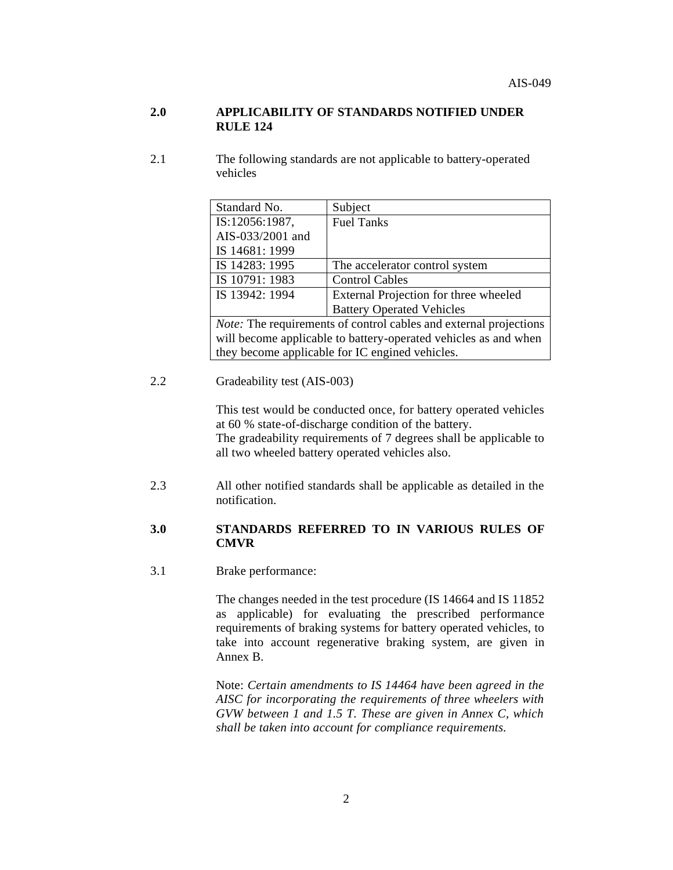#### **2.0 APPLICABILITY OF STANDARDS NOTIFIED UNDER RULE 124**

2.1 The following standards are not applicable to battery-operated vehicles

| Standard No.                                                      | Subject                               |  |  |  |
|-------------------------------------------------------------------|---------------------------------------|--|--|--|
| IS:12056:1987,                                                    | <b>Fuel Tanks</b>                     |  |  |  |
| AIS-033/2001 and                                                  |                                       |  |  |  |
| IS 14681: 1999                                                    |                                       |  |  |  |
| IS 14283: 1995                                                    | The accelerator control system        |  |  |  |
| IS 10791: 1983                                                    | <b>Control Cables</b>                 |  |  |  |
| IS 13942: 1994                                                    | External Projection for three wheeled |  |  |  |
| <b>Battery Operated Vehicles</b>                                  |                                       |  |  |  |
| Note: The requirements of control cables and external projections |                                       |  |  |  |
| will become applicable to battery-operated vehicles as and when   |                                       |  |  |  |
| they become applicable for IC engined vehicles.                   |                                       |  |  |  |

#### 2.2 Gradeability test (AIS-003)

This test would be conducted once, for battery operated vehicles at 60 % state-of-discharge condition of the battery. The gradeability requirements of 7 degrees shall be applicable to all two wheeled battery operated vehicles also.

2.3 All other notified standards shall be applicable as detailed in the notification.

#### **3.0 STANDARDS REFERRED TO IN VARIOUS RULES OF CMVR**

3.1 Brake performance:

The changes needed in the test procedure (IS 14664 and IS 11852 as applicable) for evaluating the prescribed performance requirements of braking systems for battery operated vehicles, to take into account regenerative braking system, are given in Annex B.

Note: *Certain amendments to IS 14464 have been agreed in the AISC for incorporating the requirements of three wheelers with GVW between 1 and 1.5 T. These are given in Annex C, which shall be taken into account for compliance requirements.*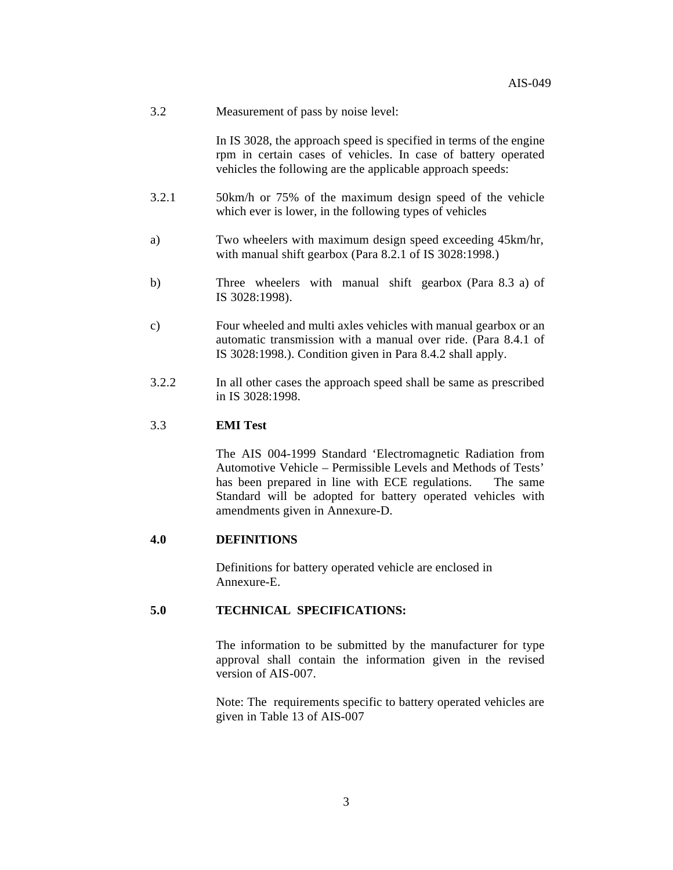3.2 Measurement of pass by noise level:

In IS 3028, the approach speed is specified in terms of the engine rpm in certain cases of vehicles. In case of battery operated vehicles the following are the applicable approach speeds:

- 3.2.1 50km/h or 75% of the maximum design speed of the vehicle which ever is lower, in the following types of vehicles
- a) Two wheelers with maximum design speed exceeding 45km/hr, with manual shift gearbox (Para 8.2.1 of IS 3028:1998.)
- b) Three wheelers with manual shift gearbox (Para 8.3 a) of IS 3028:1998).
- c) Four wheeled and multi axles vehicles with manual gearbox or an automatic transmission with a manual over ride. (Para 8.4.1 of IS 3028:1998.). Condition given in Para 8.4.2 shall apply.
- 3.2.2 In all other cases the approach speed shall be same as prescribed in IS 3028:1998.

#### 3.3 **EMI Test**

The AIS 004-1999 Standard 'Electromagnetic Radiation from Automotive Vehicle – Permissible Levels and Methods of Tests' has been prepared in line with ECE regulations. The same Standard will be adopted for battery operated vehicles with amendments given in Annexure-D.

#### **4.0 DEFINITIONS**

Definitions for battery operated vehicle are enclosed in Annexure-E.

#### **5.0 TECHNICAL SPECIFICATIONS:**

The information to be submitted by the manufacturer for type approval shall contain the information given in the revised version of AIS-007.

Note: The requirements specific to battery operated vehicles are given in Table 13 of AIS-007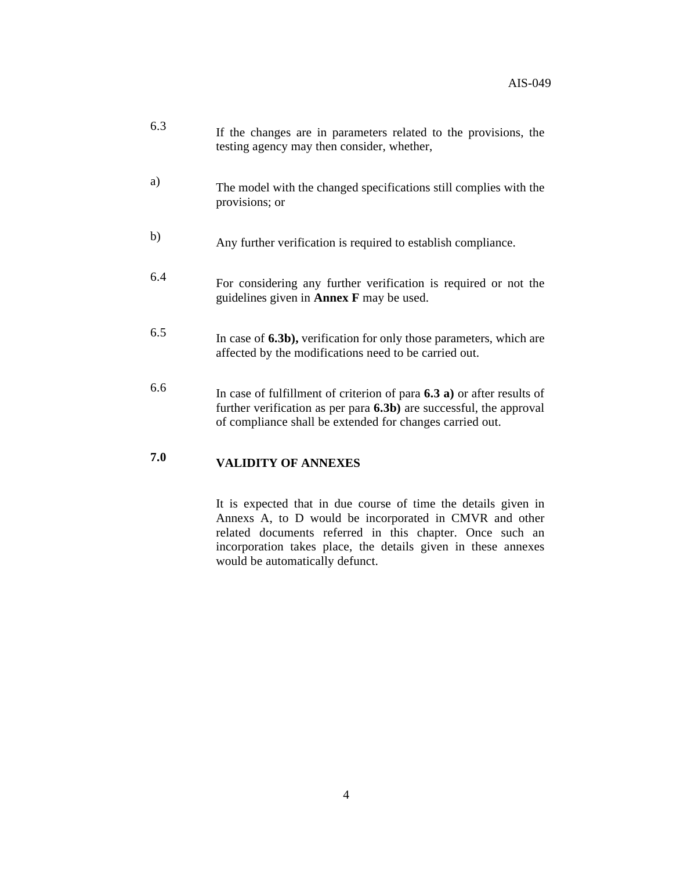| 6.3 | If the changes are in parameters related to the provisions, the<br>testing agency may then consider, whether,                                                                                                   |
|-----|-----------------------------------------------------------------------------------------------------------------------------------------------------------------------------------------------------------------|
| a)  | The model with the changed specifications still complies with the<br>provisions; or                                                                                                                             |
| b)  | Any further verification is required to establish compliance.                                                                                                                                                   |
| 6.4 | For considering any further verification is required or not the<br>guidelines given in <b>Annex</b> $\bf{F}$ may be used.                                                                                       |
| 6.5 | In case of 6.3b), verification for only those parameters, which are<br>affected by the modifications need to be carried out.                                                                                    |
| 6.6 | In case of fulfillment of criterion of para $6.3 a$ ) or after results of<br>further verification as per para $6.3b$ ) are successful, the approval<br>of compliance shall be extended for changes carried out. |

## **7.0 VALIDITY OF ANNEXES**

It is expected that in due course of time the details given in Annexs A, to D would be incorporated in CMVR and other related documents referred in this chapter. Once such an incorporation takes place, the details given in these annexes would be automatically defunct.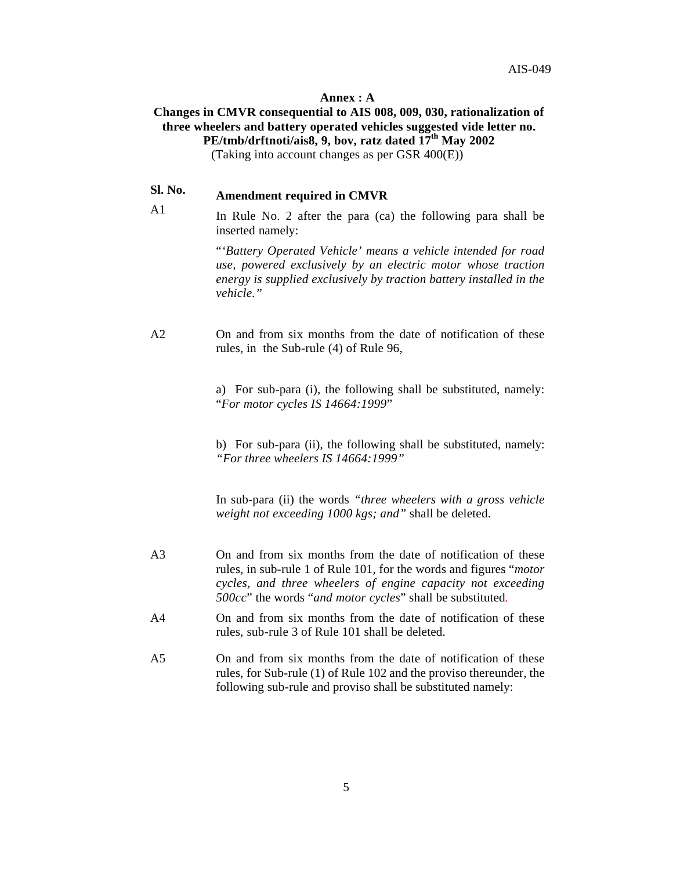#### **Annex : A**

#### **Changes in CMVR consequential to AIS 008, 009, 030, rationalization of three wheelers and battery operated vehicles suggested vide letter no. PE/tmb/drftnoti/ais8, 9, bov, ratz dated 17th May 2002**

(Taking into account changes as per GSR 400(E))

### **Sl. No. Amendment required in CMVR**

A1

In Rule No. 2 after the para (ca) the following para shall be inserted namely:

> "*'Battery Operated Vehicle' means a vehicle intended for road use, powered exclusively by an electric motor whose traction energy is supplied exclusively by traction battery installed in the vehicle."*

A<sub>2</sub> On and from six months from the date of notification of these rules, in the Sub-rule (4) of Rule 96,

> a) For sub-para (i), the following shall be substituted, namely: "*For motor cycles IS 14664:1999*"

> b) For sub-para (ii), the following shall be substituted, namely: *"For three wheelers IS 14664:1999"*

> In sub-para (ii) the words *"three wheelers with a gross vehicle weight not exceeding 1000 kgs; and"* shall be deleted.

- A3 On and from six months from the date of notification of these rules, in sub-rule 1 of Rule 101, for the words and figures "*motor cycles, and three wheelers of engine capacity not exceeding 500cc*" the words "*and motor cycles*" shall be substituted.
- A4 On and from six months from the date of notification of these rules, sub-rule 3 of Rule 101 shall be deleted.
- A5 On and from six months from the date of notification of these rules, for Sub-rule (1) of Rule 102 and the proviso thereunder, the following sub-rule and proviso shall be substituted namely: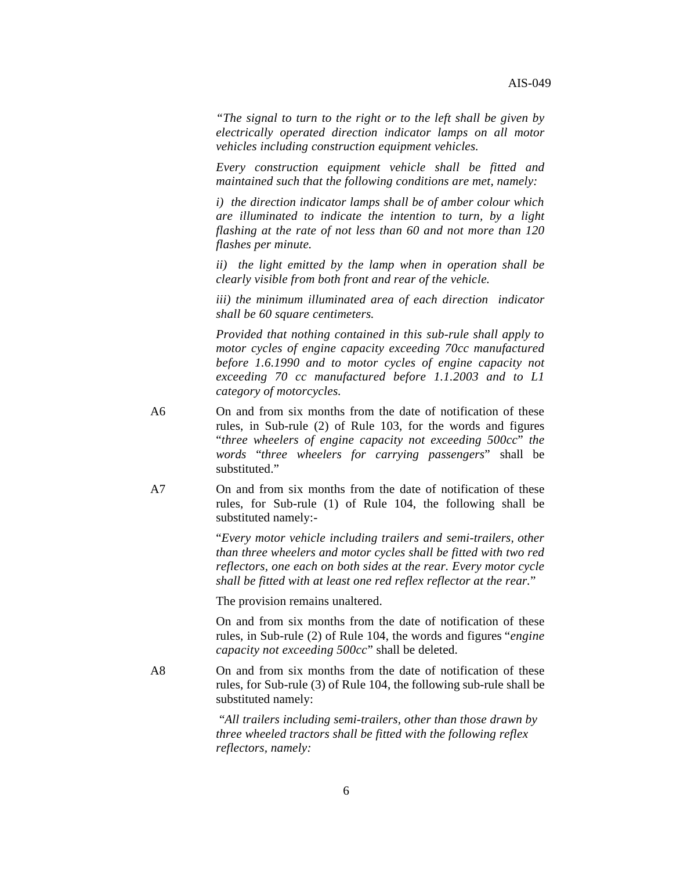*"The signal to turn to the right or to the left shall be given by electrically operated direction indicator lamps on all motor vehicles including construction equipment vehicles.* 

*Every construction equipment vehicle shall be fitted and maintained such that the following conditions are met, namely:*

*i) the direction indicator lamps shall be of amber colour which are illuminated to indicate the intention to turn, by a light flashing at the rate of not less than 60 and not more than 120 flashes per minute.*

*ii) the light emitted by the lamp when in operation shall be clearly visible from both front and rear of the vehicle.*

*iii) the minimum illuminated area of each direction indicator shall be 60 square centimeters.*

*Provided that nothing contained in this sub-rule shall apply to motor cycles of engine capacity exceeding 70cc manufactured before 1.6.1990 and to motor cycles of engine capacity not exceeding 70 cc manufactured before 1.1.2003 and to L1 category of motorcycles.*

- A6 On and from six months from the date of notification of these rules, in Sub-rule (2) of Rule 103, for the words and figures "*three wheelers of engine capacity not exceeding 500cc*" *the words* "*three wheelers for carrying passengers*" shall be substituted."
- A7 On and from six months from the date of notification of these rules, for Sub-rule (1) of Rule 104, the following shall be substituted namely:-

"*Every motor vehicle including trailers and semi-trailers, other than three wheelers and motor cycles shall be fitted with two red reflectors, one each on both sides at the rear. Every motor cycle shall be fitted with at least one red reflex reflector at the rear.*"

The provision remains unaltered.

On and from six months from the date of notification of these rules, in Sub-rule (2) of Rule 104, the words and figures "*engine capacity not exceeding 500cc*" shall be deleted.

A8 On and from six months from the date of notification of these rules, for Sub-rule (3) of Rule 104, the following sub-rule shall be substituted namely:

> "*All trailers including semi-trailers, other than those drawn by three wheeled tractors shall be fitted with the following reflex reflectors, namely:*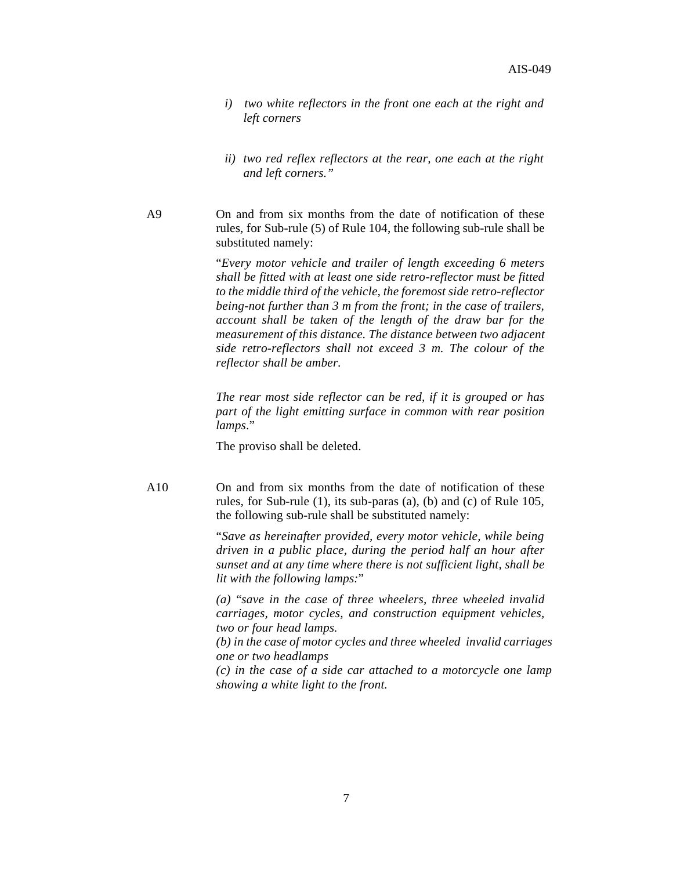- *i) two white reflectors in the front one each at the right and left corners*
- *ii) two red reflex reflectors at the rear, one each at the right and left corners."*
- A9 On and from six months from the date of notification of these rules, for Sub-rule (5) of Rule 104, the following sub-rule shall be substituted namely:

"*Every motor vehicle and trailer of length exceeding 6 meters shall be fitted with at least one side retro-reflector must be fitted to the middle third of the vehicle, the foremost side retro-reflector being-not further than 3 m from the front; in the case of trailers, account shall be taken of the length of the draw bar for the measurement of this distance. The distance between two adjacent side retro-reflectors shall not exceed 3 m. The colour of the reflector shall be amber.*

*The rear most side reflector can be red, if it is grouped or has part of the light emitting surface in common with rear position lamps*."

The proviso shall be deleted.

A10 On and from six months from the date of notification of these rules, for Sub-rule (1), its sub-paras (a), (b) and (c) of Rule 105, the following sub-rule shall be substituted namely:

> "*Save as hereinafter provided, every motor vehicle, while being driven in a public place, during the period half an hour after sunset and at any time where there is not sufficient light, shall be lit with the following lamps:*"

> *(a)* "*save in the case of three wheelers, three wheeled invalid carriages, motor cycles, and construction equipment vehicles, two or four head lamps.*

*(b) in the case of motor cycles and three wheeled invalid carriages one or two headlamps*

*(c) in the case of a side car attached to a motorcycle one lamp showing a white light to the front.*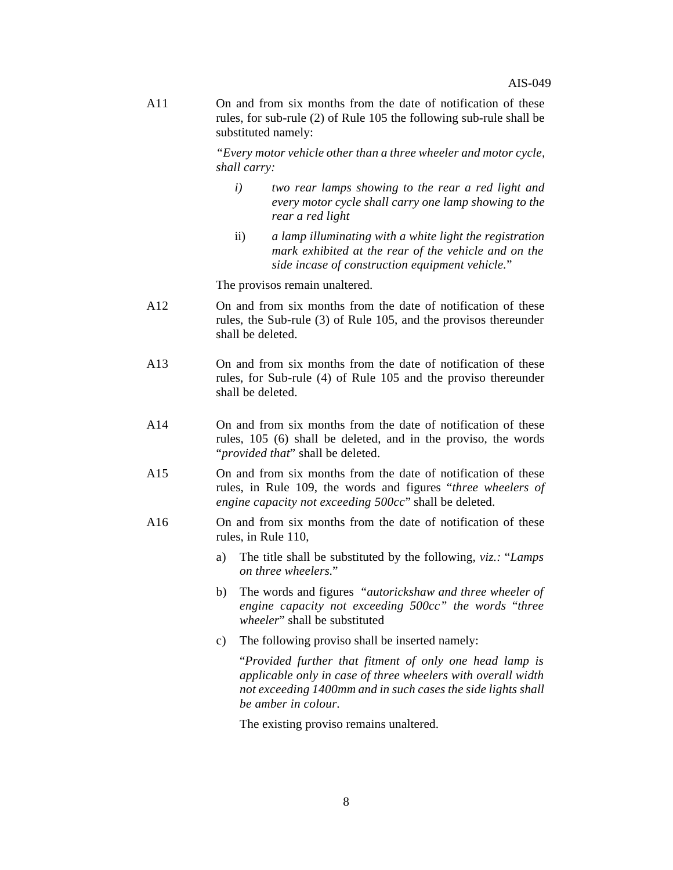A11 On and from six months from the date of notification of these rules, for sub-rule (2) of Rule 105 the following sub-rule shall be substituted namely:

> *"Every motor vehicle other than a three wheeler and motor cycle, shall carry:*

- *i) two rear lamps showing to the rear a red light and every motor cycle shall carry one lamp showing to the rear a red light*
- ii) *a lamp illuminating with a white light the registration mark exhibited at the rear of the vehicle and on the side incase of construction equipment vehicle.*"

The provisos remain unaltered.

- A12 On and from six months from the date of notification of these rules, the Sub-rule (3) of Rule 105, and the provisos thereunder shall be deleted.
- A13 On and from six months from the date of notification of these rules, for Sub-rule (4) of Rule 105 and the proviso thereunder shall be deleted.
- A14 On and from six months from the date of notification of these rules, 105 (6) shall be deleted, and in the proviso, the words "*provided that*" shall be deleted.
- A15 On and from six months from the date of notification of these rules, in Rule 109, the words and figures "*three wheelers of engine capacity not exceeding 500cc*" shall be deleted.
- On and from six months from the date of notification of these rules, in Rule 110, A16
	- a) The title shall be substituted by the following, *viz.:* "*Lamps on three wheelers.*"
	- b) The words and figures"*autorickshaw and three wheeler of engine capacity not exceeding 500cc" the words* "*three wheeler*" shall be substituted
	- c) The following proviso shall be inserted namely:

"*Provided further that fitment of only one head lamp is applicable only in case of three wheelers with overall width not exceeding 1400mm and in such cases the side lights shall be amber in colour.*

The existing proviso remains unaltered.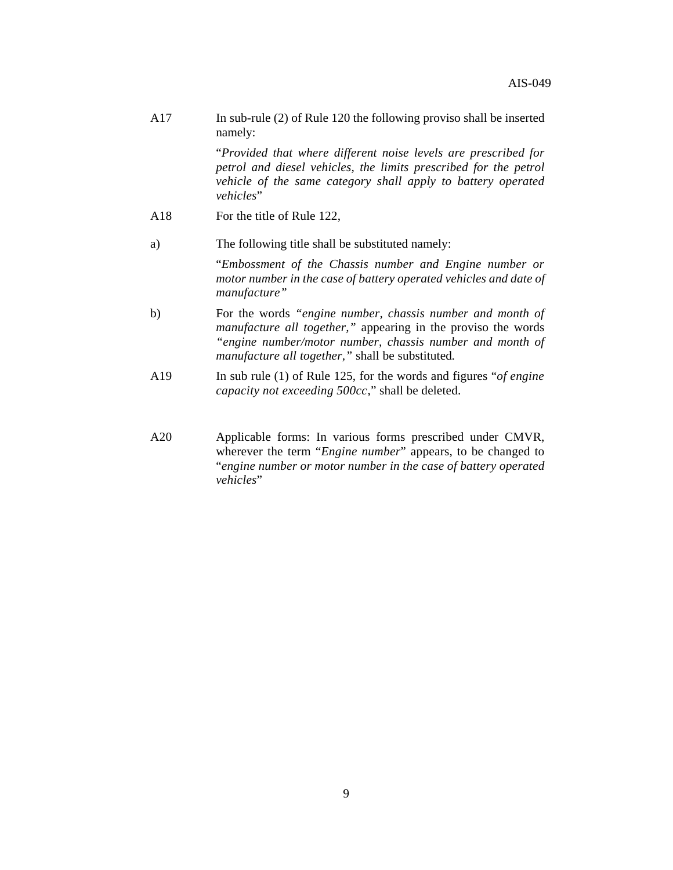A17 In sub-rule (2) of Rule 120 the following proviso shall be inserted namely:

> "*Provided that where different noise levels are prescribed for petrol and diesel vehicles, the limits prescribed for the petrol vehicle of the same category shall apply to battery operated vehicles*"

- A18 For the title of Rule 122,
- a) The following title shall be substituted namely:

"*Embossment of the Chassis number and Engine number or motor number in the case of battery operated vehicles and date of manufacture"*

- b) For the words *"engine number, chassis number and month of manufacture all together,"* appearing in the proviso the words *"engine number/motor number, chassis number and month of manufacture all together,"* shall be substituted*.*
- A19 In sub rule (1) of Rule 125, for the words and figures "*of engine capacity not exceeding 500cc*," shall be deleted.
- A20 Applicable forms: In various forms prescribed under CMVR, wherever the term "*Engine number*" appears, to be changed to "*engine number or motor number in the case of battery operated vehicles*"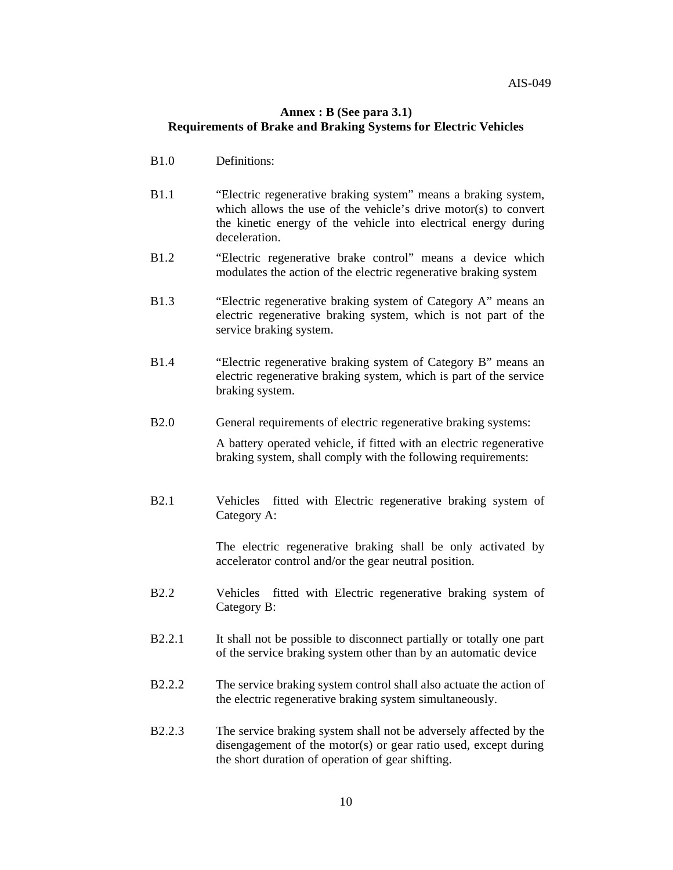#### **Annex : B (See para 3.1) Requirements of Brake and Braking Systems for Electric Vehicles**

- B1.0 Definitions:
- B1.1 "Electric regenerative braking system" means a braking system, which allows the use of the vehicle's drive motor(s) to convert the kinetic energy of the vehicle into electrical energy during deceleration.
- B1.2 "Electric regenerative brake control" means a device which modulates the action of the electric regenerative braking system
- B1.3 "Electric regenerative braking system of Category A" means an electric regenerative braking system, which is not part of the service braking system.
- B1.4 "Electric regenerative braking system of Category B" means an electric regenerative braking system, which is part of the service braking system.
- B2.0 General requirements of electric regenerative braking systems:

A battery operated vehicle, if fitted with an electric regenerative braking system, shall comply with the following requirements:

B2.1 Vehicles fitted with Electric regenerative braking system of Category A:

> The electric regenerative braking shall be only activated by accelerator control and/or the gear neutral position.

- B2.2 Vehicles fitted with Electric regenerative braking system of Category B:
- B2.2.1 It shall not be possible to disconnect partially or totally one part of the service braking system other than by an automatic device
- B2.2.2 The service braking system control shall also actuate the action of the electric regenerative braking system simultaneously.
- B2.2.3 The service braking system shall not be adversely affected by the disengagement of the motor(s) or gear ratio used, except during the short duration of operation of gear shifting.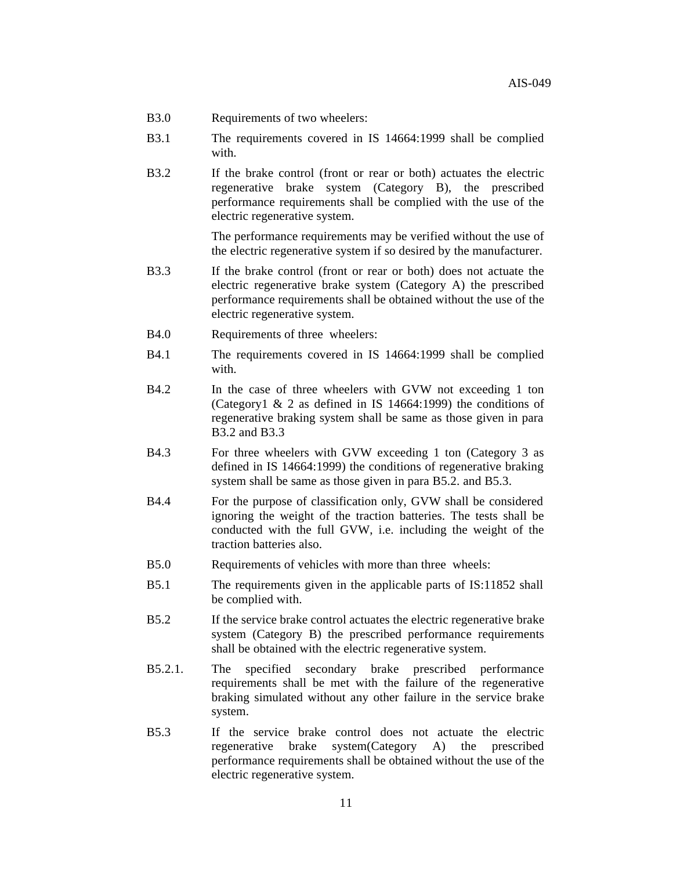- B3.0 Requirements of two wheelers:
- B3.1 The requirements covered in IS 14664:1999 shall be complied with.
- B3.2 If the brake control (front or rear or both) actuates the electric regenerative brake system (Category B), the prescribed performance requirements shall be complied with the use of the electric regenerative system.

The performance requirements may be verified without the use of the electric regenerative system if so desired by the manufacturer.

- B3.3 If the brake control (front or rear or both) does not actuate the electric regenerative brake system (Category A) the prescribed performance requirements shall be obtained without the use of the electric regenerative system.
- B4.0 Requirements of three wheelers:
- B4.1 The requirements covered in IS 14664:1999 shall be complied with.
- B4.2 In the case of three wheelers with GVW not exceeding 1 ton (Category1 & 2 as defined in IS 14664:1999) the conditions of regenerative braking system shall be same as those given in para B3.2 and B3.3
- B4.3 For three wheelers with GVW exceeding 1 ton (Category 3 as defined in IS 14664:1999) the conditions of regenerative braking system shall be same as those given in para B5.2. and B5.3.
- B4.4 For the purpose of classification only, GVW shall be considered ignoring the weight of the traction batteries. The tests shall be conducted with the full GVW, i.e. including the weight of the traction batteries also.
- B5.0 Requirements of vehicles with more than three wheels:
- B5.1 The requirements given in the applicable parts of IS:11852 shall be complied with.
- B5.2 If the service brake control actuates the electric regenerative brake system (Category B) the prescribed performance requirements shall be obtained with the electric regenerative system.
- B5.2.1. The specified secondary brake prescribed performance requirements shall be met with the failure of the regenerative braking simulated without any other failure in the service brake system.
- B5.3 If the service brake control does not actuate the electric regenerative brake system(Category A) the prescribed performance requirements shall be obtained without the use of the electric regenerative system.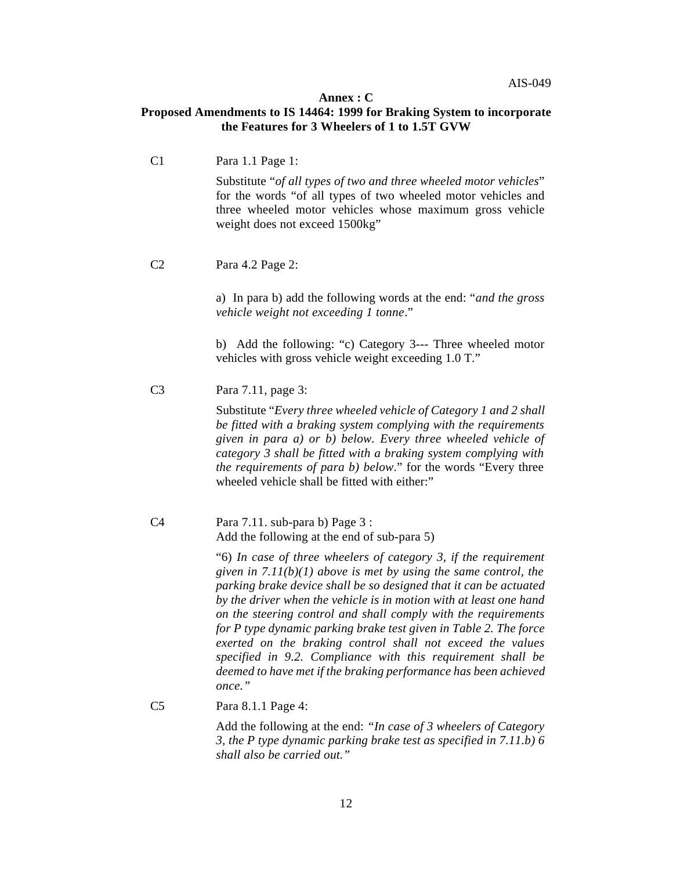#### **Annex : C**

#### **Proposed Amendments to IS 14464: 1999 for Braking System to incorporate the Features for 3 Wheelers of 1 to 1.5T GVW**

C1 Para 1.1 Page 1: Substitute "*of all types of two and three wheeled motor vehicles*" for the words "of all types of two wheeled motor vehicles and three wheeled motor vehicles whose maximum gross vehicle weight does not exceed 1500kg" C2 Para 4.2 Page 2: a) In para b) add the following words at the end: "*and the gross vehicle weight not exceeding 1 tonne*." b) Add the following: "c) Category 3--- Three wheeled motor vehicles with gross vehicle weight exceeding 1.0 T." C3 Para 7.11, page 3: Substitute "*Every three wheeled vehicle of Category 1 and 2 shall be fitted with a braking system complying with the requirements given in para a) or b) below. Every three wheeled vehicle of category 3 shall be fitted with a braking system complying with the requirements of para b) below*." for the words "Every three wheeled vehicle shall be fitted with either:" C4 Para 7.11. sub-para b) Page 3 : Add the following at the end of sub-para 5) "6) *In case of three wheelers of category 3, if the requirement given in 7.11(b)(1) above is met by using the same control, the parking brake device shall be so designed that it can be actuated by the driver when the vehicle is in motion with at least one hand on the steering control and shall comply with the requirements for P type dynamic parking brake test given in Table 2. The force exerted on the braking control shall not exceed the values specified in 9.2. Compliance with this requirement shall be deemed to have met if the braking performance has been achieved once."* C5 Para 8.1.1 Page 4:

Add the following at the end: *"In case of 3 wheelers of Category 3, the P type dynamic parking brake test as specified in 7.11.b) 6 shall also be carried out."*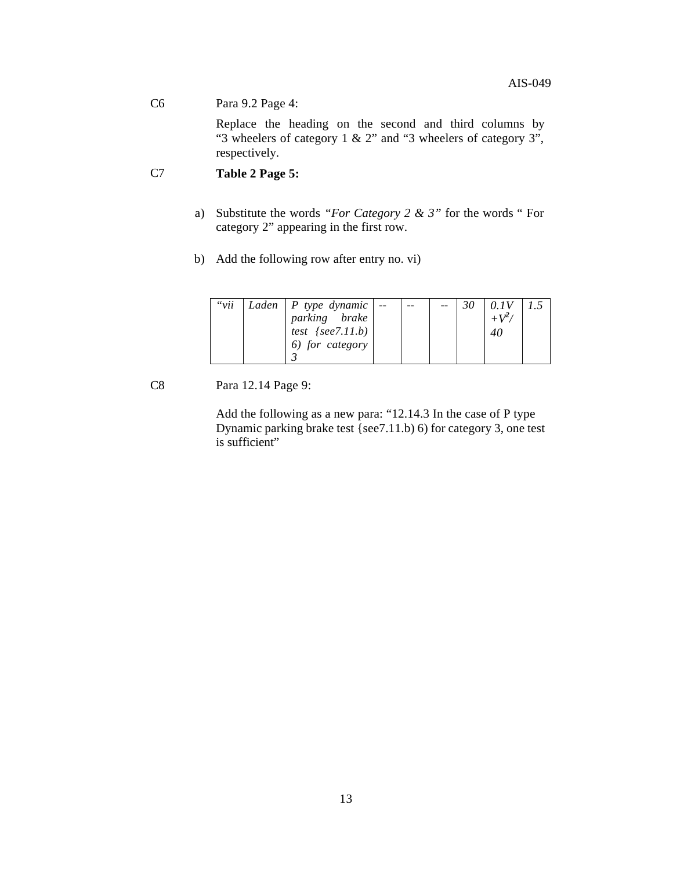#### C6 Para 9.2 Page 4:

Replace the heading on the second and third columns by "3 wheelers of category 1 & 2" and "3 wheelers of category 3", respectively.

#### C7 **Table 2 Page 5:**

- a) Substitute the words *"For Category 2 & 3"* for the words " For category 2" appearing in the first row.
- b) Add the following row after entry no. vi)

| " $vii$ | Laden   P type dynamic $  -$<br>parking brake |  |  | 0.1V<br>$+V^2$ |  |
|---------|-----------------------------------------------|--|--|----------------|--|
|         | test $\{see 7.11.b\}$<br>6) for category      |  |  | 40             |  |

C8 Para 12.14 Page 9:

Add the following as a new para: "12.14.3 In the case of P type Dynamic parking brake test {see7.11.b) 6) for category 3, one test is sufficient"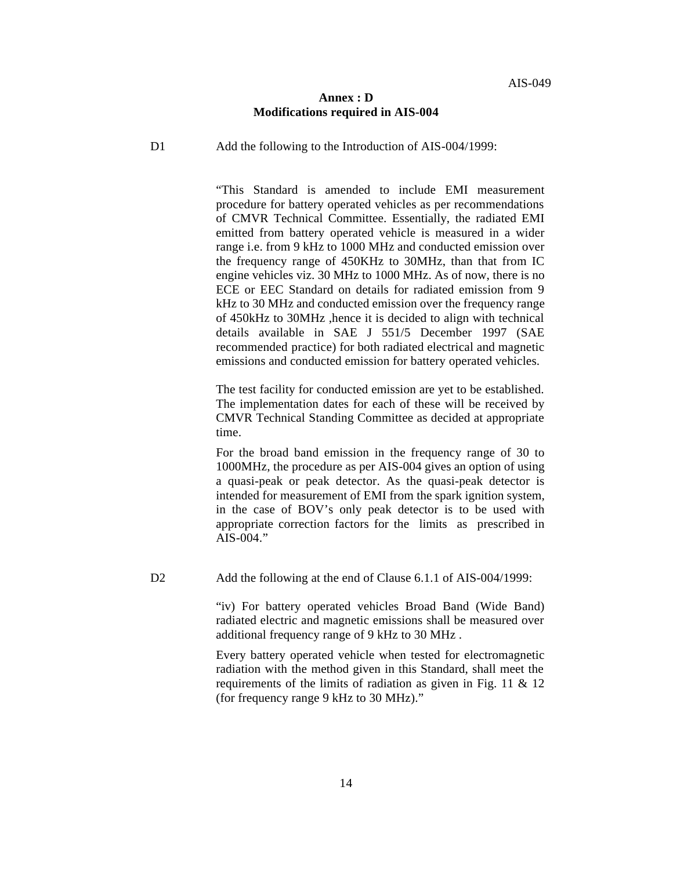#### **Annex : D Modifications required in AIS-004**

D1 Add the following to the Introduction of AIS-004/1999:

"This Standard is amended to include EMI measurement procedure for battery operated vehicles as per recommendations of CMVR Technical Committee. Essentially, the radiated EMI emitted from battery operated vehicle is measured in a wider range i.e. from 9 kHz to 1000 MHz and conducted emission over the frequency range of 450KHz to 30MHz, than that from IC engine vehicles viz. 30 MHz to 1000 MHz. As of now, there is no ECE or EEC Standard on details for radiated emission from 9 kHz to 30 MHz and conducted emission over the frequency range of 450kHz to 30MHz ,hence it is decided to align with technical details available in SAE J 551/5 December 1997 (SAE recommended practice) for both radiated electrical and magnetic emissions and conducted emission for battery operated vehicles.

The test facility for conducted emission are yet to be established. The implementation dates for each of these will be received by CMVR Technical Standing Committee as decided at appropriate time.

For the broad band emission in the frequency range of 30 to 1000MHz, the procedure as per AIS-004 gives an option of using a quasi-peak or peak detector. As the quasi-peak detector is intended for measurement of EMI from the spark ignition system, in the case of BOV's only peak detector is to be used with appropriate correction factors for the limits as prescribed in AIS-004."

D2 Add the following at the end of Clause 6.1.1 of AIS-004/1999:

"iv) For battery operated vehicles Broad Band (Wide Band) radiated electric and magnetic emissions shall be measured over additional frequency range of 9 kHz to 30 MHz .

Every battery operated vehicle when tested for electromagnetic radiation with the method given in this Standard, shall meet the requirements of the limits of radiation as given in Fig. 11 & 12 (for frequency range 9 kHz to 30 MHz)."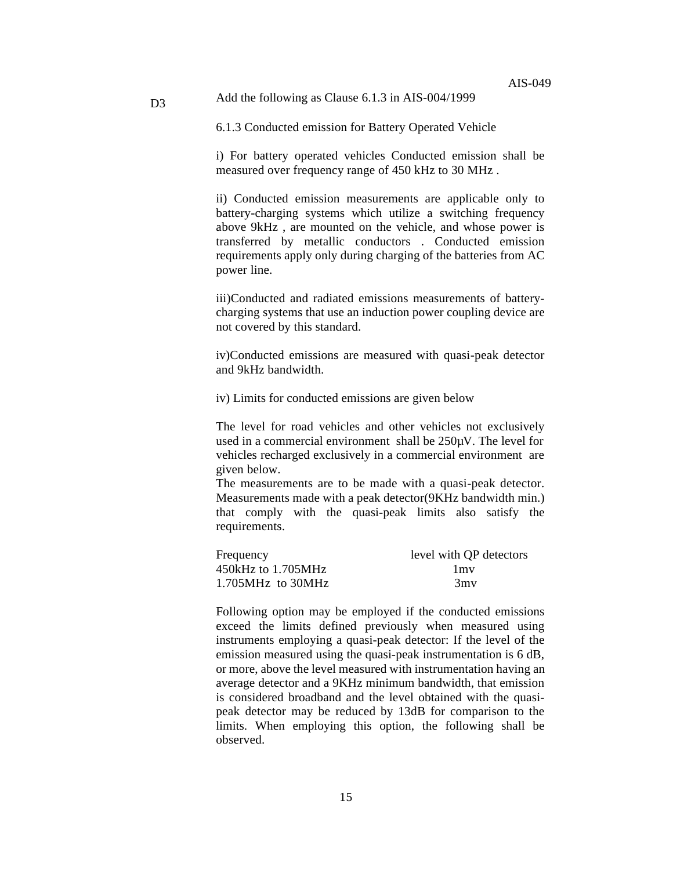#### Add the following as Clause 6.1.3 in AIS-004/1999

D<sub>3</sub>

6.1.3 Conducted emission for Battery Operated Vehicle

i) For battery operated vehicles Conducted emission shall be measured over frequency range of 450 kHz to 30 MHz .

ii) Conducted emission measurements are applicable only to battery-charging systems which utilize a switching frequency above 9kHz , are mounted on the vehicle, and whose power is transferred by metallic conductors . Conducted emission requirements apply only during charging of the batteries from AC power line.

iii)Conducted and radiated emissions measurements of batterycharging systems that use an induction power coupling device are not covered by this standard.

iv)Conducted emissions are measured with quasi-peak detector and 9kHz bandwidth.

iv) Limits for conducted emissions are given below

The level for road vehicles and other vehicles not exclusively used in a commercial environment shall be 250µV. The level for vehicles recharged exclusively in a commercial environment are given below.

The measurements are to be made with a quasi-peak detector. Measurements made with a peak detector(9KHz bandwidth min.) that comply with the quasi-peak limits also satisfy the requirements.

| Frequency                           | level with QP detectors |
|-------------------------------------|-------------------------|
| 450kHz to 1.705MHz                  | 1 <sub>mv</sub>         |
| $1.705\text{MHz}$ to $30\text{MHz}$ | 3mv                     |

Following option may be employed if the conducted emissions exceed the limits defined previously when measured using instruments employing a quasi-peak detector: If the level of the emission measured using the quasi-peak instrumentation is 6 dB, or more, above the level measured with instrumentation having an average detector and a 9KHz minimum bandwidth, that emission is considered broadband and the level obtained with the quasipeak detector may be reduced by 13dB for comparison to the limits. When employing this option, the following shall be observed.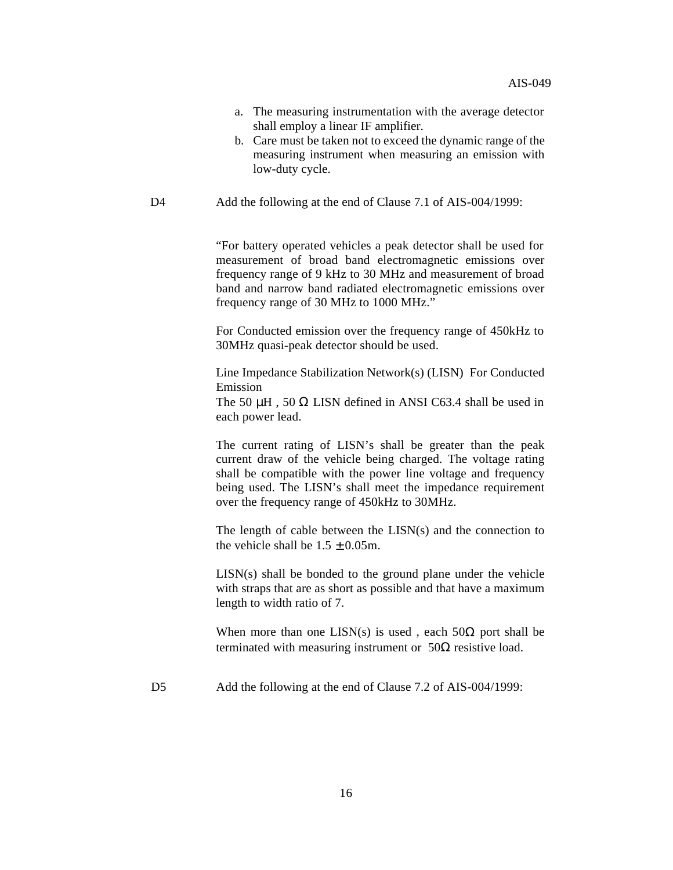- a. The measuring instrumentation with the average detector shall employ a linear IF amplifier.
- b. Care must be taken not to exceed the dynamic range of the measuring instrument when measuring an emission with low-duty cycle.
- D4 Add the following at the end of Clause 7.1 of AIS-004/1999:

"For battery operated vehicles a peak detector shall be used for measurement of broad band electromagnetic emissions over frequency range of 9 kHz to 30 MHz and measurement of broad band and narrow band radiated electromagnetic emissions over frequency range of 30 MHz to 1000 MHz."

For Conducted emission over the frequency range of 450kHz to 30MHz quasi-peak detector should be used.

Line Impedance Stabilization Network(s) (LISN) For Conducted Emission

The 50  $\mu$ H, 50  $\Omega$  LISN defined in ANSI C63.4 shall be used in each power lead.

The current rating of LISN's shall be greater than the peak current draw of the vehicle being charged. The voltage rating shall be compatible with the power line voltage and frequency being used. The LISN's shall meet the impedance requirement over the frequency range of 450kHz to 30MHz.

The length of cable between the LISN(s) and the connection to the vehicle shall be  $1.5 \pm 0.05$ m.

LISN(s) shall be bonded to the ground plane under the vehicle with straps that are as short as possible and that have a maximum length to width ratio of 7.

When more than one LISN(s) is used, each  $50\Omega$  port shall be terminated with measuring instrument or  $50Ω$  resistive load.

D5 Add the following at the end of Clause 7.2 of AIS-004/1999: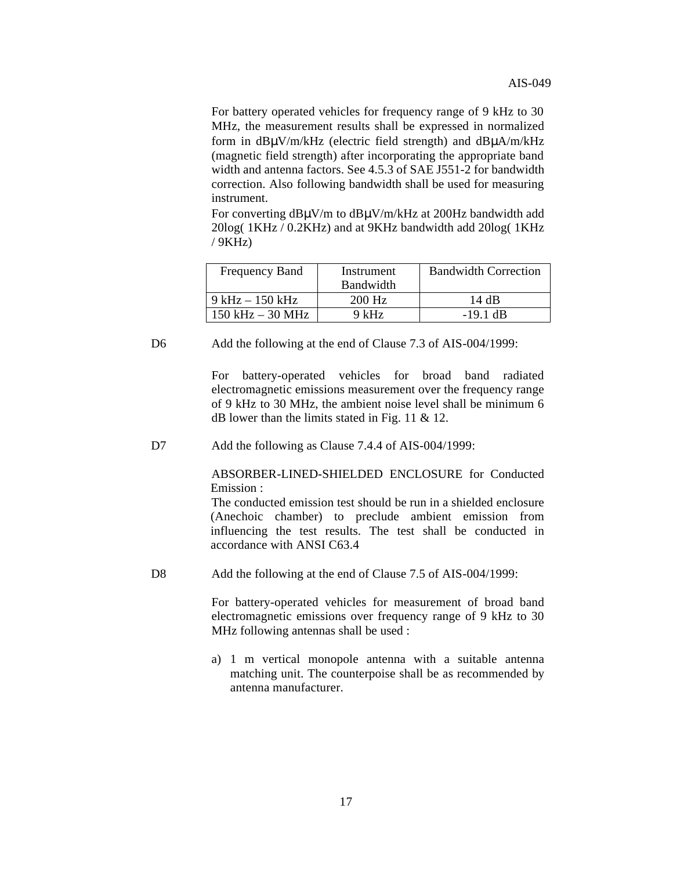For battery operated vehicles for frequency range of 9 kHz to 30 MHz, the measurement results shall be expressed in normalized form in dBμV/m/kHz (electric field strength) and dBμA/m/kHz (magnetic field strength) after incorporating the appropriate band width and antenna factors. See 4.5.3 of SAE J551-2 for bandwidth correction. Also following bandwidth shall be used for measuring instrument.

For converting dBμV/m to dBμV/m/kHz at 200Hz bandwidth add 20log( 1KHz / 0.2KHz) and at 9KHz bandwidth add 20log( 1KHz / 9KHz)

| <b>Frequency Band</b> | Instrument | <b>Bandwidth Correction</b> |
|-----------------------|------------|-----------------------------|
|                       | Bandwidth  |                             |
| $9$ kHz $-150$ kHz    | $200$ Hz   | 14 dB                       |
| $150$ kHz $-$ 30 MHz  | $9$ kHz    | $-19.1$ dB                  |

D6 Add the following at the end of Clause 7.3 of AIS-004/1999:

For battery-operated vehicles for broad band radiated electromagnetic emissions measurement over the frequency range of 9 kHz to 30 MHz, the ambient noise level shall be minimum 6 dB lower than the limits stated in Fig. 11 & 12.

D7 Add the following as Clause 7.4.4 of AIS-004/1999:

ABSORBER-LINED-SHIELDED ENCLOSURE for Conducted Emission :

The conducted emission test should be run in a shielded enclosure (Anechoic chamber) to preclude ambient emission from influencing the test results. The test shall be conducted in accordance with ANSI C63.4

D8 Add the following at the end of Clause 7.5 of AIS-004/1999:

For battery-operated vehicles for measurement of broad band electromagnetic emissions over frequency range of 9 kHz to 30 MHz following antennas shall be used :

a) 1 m vertical monopole antenna with a suitable antenna matching unit. The counterpoise shall be as recommended by antenna manufacturer.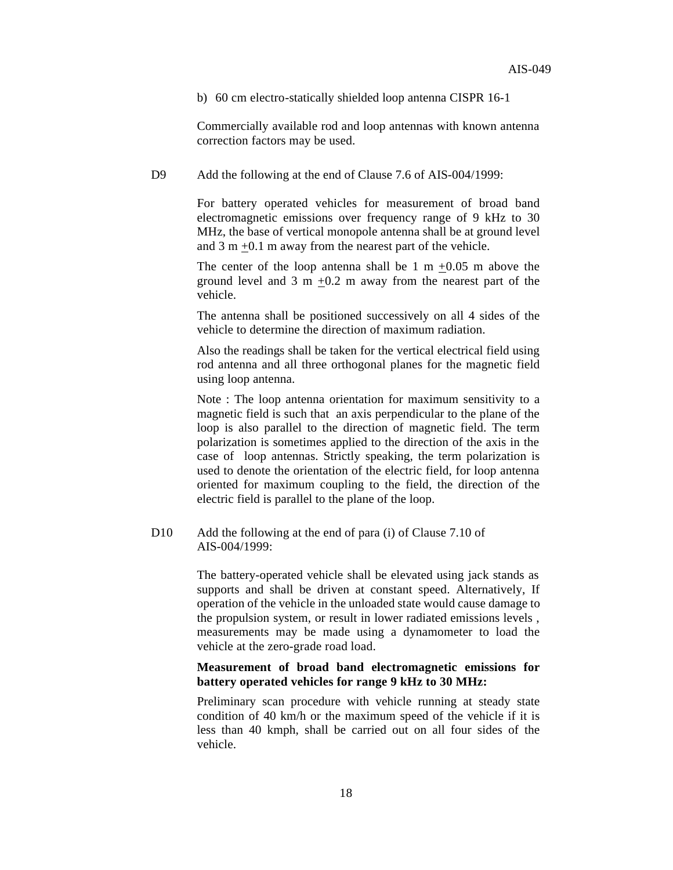b) 60 cm electro-statically shielded loop antenna CISPR 16-1

Commercially available rod and loop antennas with known antenna correction factors may be used.

D9 Add the following at the end of Clause 7.6 of AIS-004/1999:

For battery operated vehicles for measurement of broad band electromagnetic emissions over frequency range of 9 kHz to 30 MHz, the base of vertical monopole antenna shall be at ground level and 3 m +0.1 m away from the nearest part of the vehicle.

The center of the loop antenna shall be  $1 \text{ m } +0.05 \text{ m}$  above the ground level and  $3 \text{ m} +0.2 \text{ m}$  away from the nearest part of the vehicle.

The antenna shall be positioned successively on all 4 sides of the vehicle to determine the direction of maximum radiation.

Also the readings shall be taken for the vertical electrical field using rod antenna and all three orthogonal planes for the magnetic field using loop antenna.

Note : The loop antenna orientation for maximum sensitivity to a magnetic field is such that an axis perpendicular to the plane of the loop is also parallel to the direction of magnetic field. The term polarization is sometimes applied to the direction of the axis in the case of loop antennas. Strictly speaking, the term polarization is used to denote the orientation of the electric field, for loop antenna oriented for maximum coupling to the field, the direction of the electric field is parallel to the plane of the loop.

D10 Add the following at the end of para (i) of Clause 7.10 of AIS-004/1999:

> The battery-operated vehicle shall be elevated using jack stands as supports and shall be driven at constant speed. Alternatively, If operation of the vehicle in the unloaded state would cause damage to the propulsion system, or result in lower radiated emissions levels , measurements may be made using a dynamometer to load the vehicle at the zero-grade road load.

#### **Measurement of broad band electromagnetic emissions for battery operated vehicles for range 9 kHz to 30 MHz:**

Preliminary scan procedure with vehicle running at steady state condition of 40 km/h or the maximum speed of the vehicle if it is less than 40 kmph, shall be carried out on all four sides of the vehicle.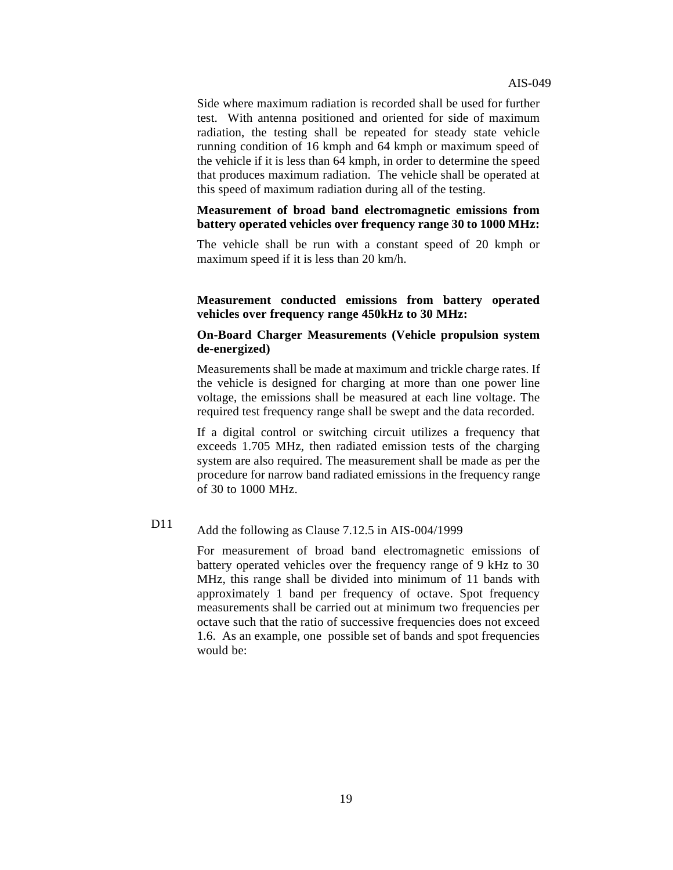Side where maximum radiation is recorded shall be used for further test. With antenna positioned and oriented for side of maximum radiation, the testing shall be repeated for steady state vehicle running condition of 16 kmph and 64 kmph or maximum speed of the vehicle if it is less than 64 kmph, in order to determine the speed that produces maximum radiation. The vehicle shall be operated at this speed of maximum radiation during all of the testing.

#### **Measurement of broad band electromagnetic emissions from battery operated vehicles over frequency range 30 to 1000 MHz:**

The vehicle shall be run with a constant speed of 20 kmph or maximum speed if it is less than 20 km/h.

#### **Measurement conducted emissions from battery operated vehicles over frequency range 450kHz to 30 MHz:**

#### **On-Board Charger Measurements (Vehicle propulsion system de-energized)**

Measurements shall be made at maximum and trickle charge rates. If the vehicle is designed for charging at more than one power line voltage, the emissions shall be measured at each line voltage. The required test frequency range shall be swept and the data recorded.

If a digital control or switching circuit utilizes a frequency that exceeds 1.705 MHz, then radiated emission tests of the charging system are also required. The measurement shall be made as per the procedure for narrow band radiated emissions in the frequency range of 30 to 1000 MHz.

### D11 Add the following as Clause 7.12.5 in AIS-004/1999

For measurement of broad band electromagnetic emissions of battery operated vehicles over the frequency range of 9 kHz to 30 MHz, this range shall be divided into minimum of 11 bands with approximately 1 band per frequency of octave. Spot frequency measurements shall be carried out at minimum two frequencies per octave such that the ratio of successive frequencies does not exceed 1.6. As an example, one possible set of bands and spot frequencies would be: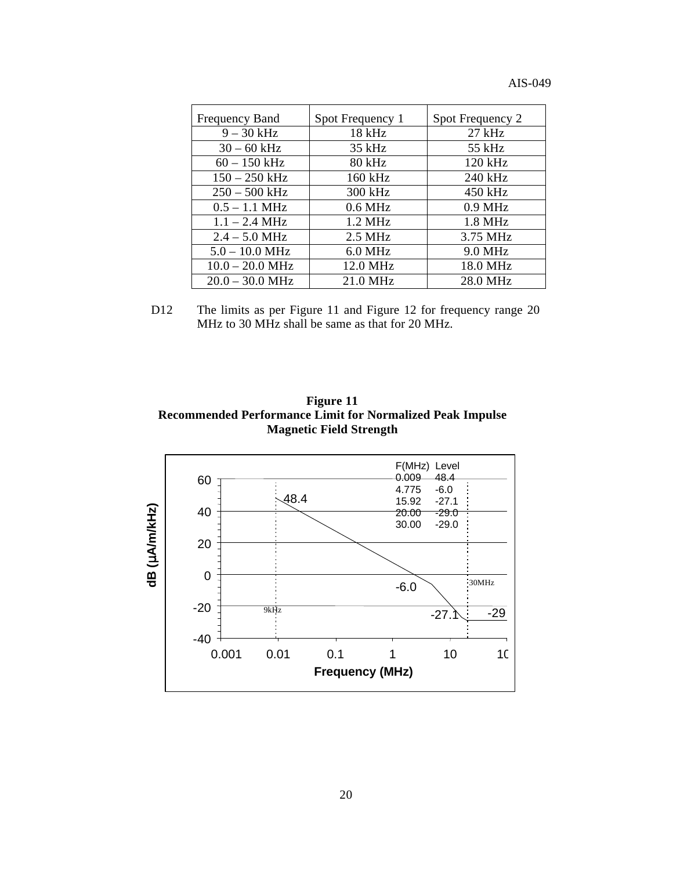|  |  | AIS-049 |  |  |
|--|--|---------|--|--|
|--|--|---------|--|--|

| Frequency Band          | Spot Frequency 1  | Spot Frequency 2  |
|-------------------------|-------------------|-------------------|
| $9 - 30$ kHz            | 18 kHz            | $27$ kHz          |
| $30 - 60$ kHz           | $35$ kHz          | 55 kHz            |
| $60 - 150$ kHz          | $80 \text{ kHz}$  | $120 \text{ kHz}$ |
| $150 - 250$ kHz         | $160$ kHz         | 240 kHz           |
| $250 - 500$ kHz         | 300 kHz           | 450 kHz           |
| $0.5 - 1.1$ MHz         | $0.6$ MHz         | $0.9$ MHz         |
| $1.1 - 2.4 \text{ MHz}$ | $1.2 \text{ MHz}$ | $1.8$ MHz         |
| $2.4 - 5.0$ MHz         | $2.5$ MHz         | 3.75 MHz          |
| $5.0 - 10.0$ MHz        | $6.0$ MHz         | 9.0 MHz           |
| $10.0 - 20.0$ MHz       | 12.0 MHz          | 18.0 MHz          |
| $20.0 - 30.0$ MHz       | 21.0 MHz          | 28.0 MHz          |

D12 The limits as per Figure 11 and Figure 12 for frequency range 20 MHz to 30 MHz shall be same as that for 20 MHz.



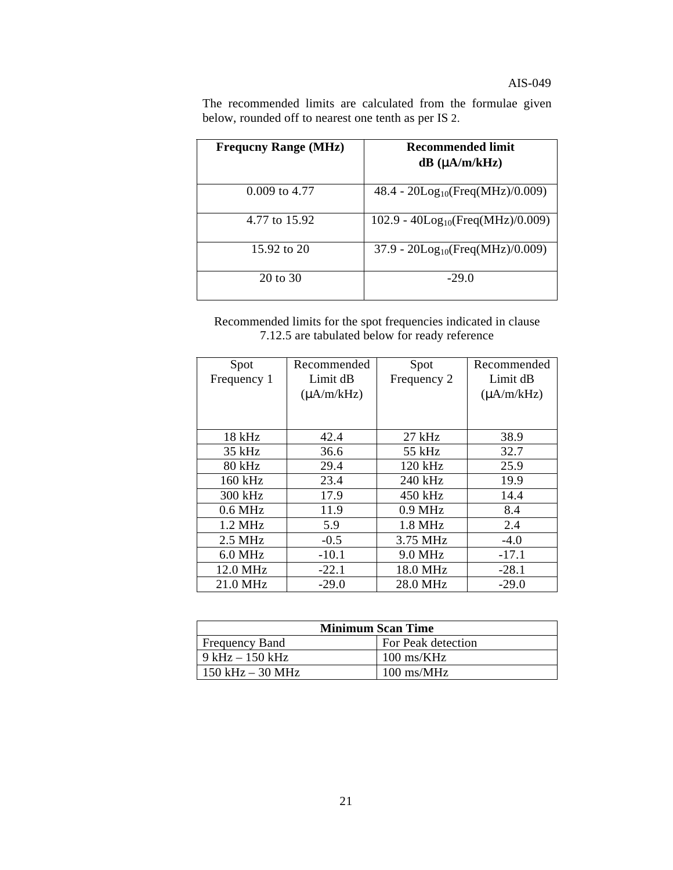#### AIS-049

The recommended limits are calculated from the formulae given below, rounded off to nearest one tenth as per IS 2.

| <b>Frequeny Range (MHz)</b> | <b>Recommended limit</b><br>$dB (\mu A/m/kHz)$     |
|-----------------------------|----------------------------------------------------|
| $0.009$ to 4.77             | $48.4 - 20\text{Log}_{10}(\text{Freq}(MHz)/0.009)$ |
| 4.77 to 15.92               | $102.9 - 40Log_{10}(Freq(MHz)/0.009)$              |
| 15.92 to 20                 | $37.9 - 20\text{Log}_{10}(\text{Freq}(MHz)/0.009)$ |
| 20 to 30                    | $-29.0$                                            |

Recommended limits for the spot frequencies indicated in clause 7.12.5 are tabulated below for ready reference

| Spot              | Recommended     | Spot        | Recommended     |
|-------------------|-----------------|-------------|-----------------|
| Frequency 1       | Limit dB        | Frequency 2 | Limit dB        |
|                   | $(\mu A/m/kHz)$ |             | $(\mu A/m/kHz)$ |
|                   |                 |             |                 |
|                   |                 |             |                 |
| $18$ kHz          | 42.4            | $27$ kHz    | 38.9            |
| 35 kHz            | 36.6            | 55 kHz      | 32.7            |
| 80 kHz            | 29.4            | 120 kHz     | 25.9            |
| 160 kHz           | 23.4            | 240 kHz     | 19.9            |
| 300 kHz           | 17.9            | 450 kHz     | 14.4            |
| $0.6$ MHz         | 11.9            | $0.9$ MHz   | 8.4             |
| $1.2 \text{ MHz}$ | 5.9             | $1.8$ MHz   | 2.4             |
| $2.5$ MHz         | $-0.5$          | 3.75 MHz    | $-4.0$          |
| $6.0$ MHz         | $-10.1$         | 9.0 MHz     | $-17.1$         |
| 12.0 MHz          | $-22.1$         | 18.0 MHz    | $-28.1$         |
| 21.0 MHz          | $-29.0$         | 28.0 MHz    | $-29.0$         |

| <b>Minimum Scan Time</b> |                               |  |
|--------------------------|-------------------------------|--|
| <b>Frequency Band</b>    | For Peak detection            |  |
| $9$ kHz $-150$ kHz       | $100 \text{ ms/KHz}$          |  |
| $150$ kHz $-$ 30 MHz     | $100 \text{ ms} / \text{MHz}$ |  |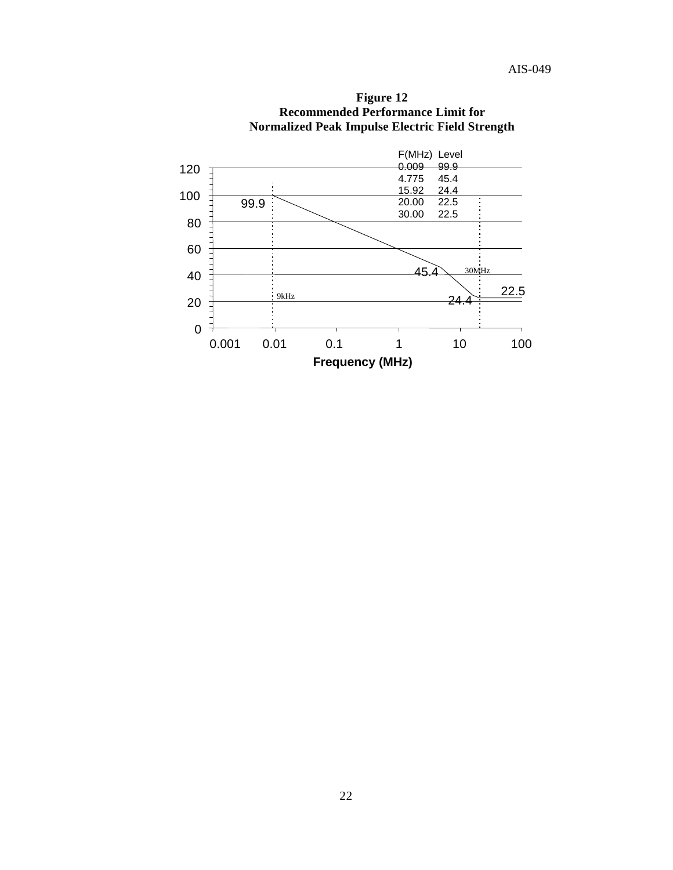

**Figure 12 Recommended Performance Limit for Normalized Peak Impulse Electric Field Strength**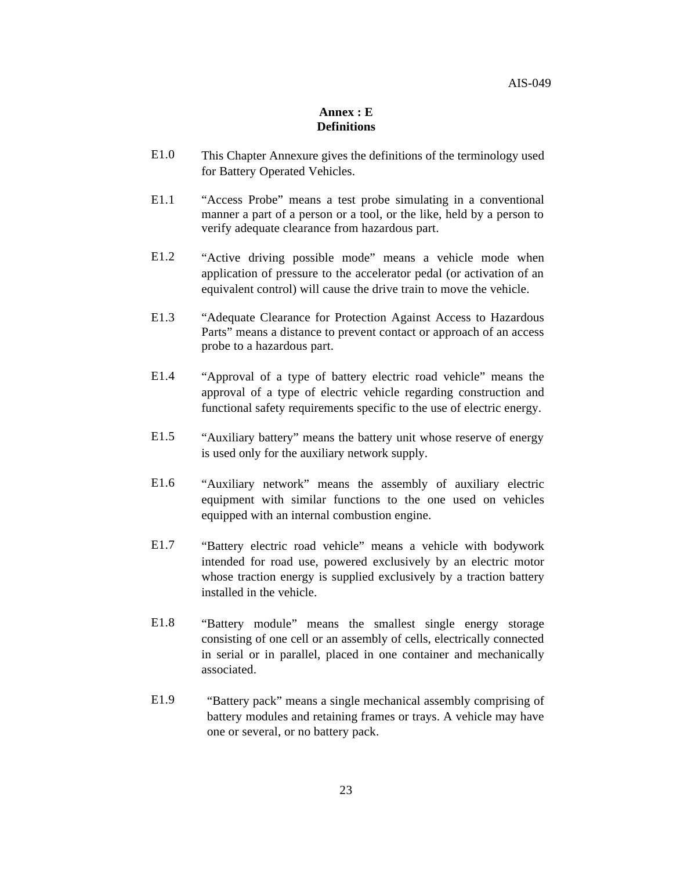#### **Annex : E Definitions**

- E1.0 This Chapter Annexure gives the definitions of the terminology used for Battery Operated Vehicles.
- E1.1 "Access Probe" means a test probe simulating in a conventional manner a part of a person or a tool, or the like, held by a person to verify adequate clearance from hazardous part.
- E1.2 "Active driving possible mode" means a vehicle mode when application of pressure to the accelerator pedal (or activation of an equivalent control) will cause the drive train to move the vehicle.
- E1.3 "Adequate Clearance for Protection Against Access to Hazardous Parts" means a distance to prevent contact or approach of an access probe to a hazardous part.
- E1.4 "Approval of a type of battery electric road vehicle" means the approval of a type of electric vehicle regarding construction and functional safety requirements specific to the use of electric energy.
- E1.5 "Auxiliary battery" means the battery unit whose reserve of energy is used only for the auxiliary network supply.
- E1.6 "Auxiliary network" means the assembly of auxiliary electric equipment with similar functions to the one used on vehicles equipped with an internal combustion engine.
- E1.7 "Battery electric road vehicle" means a vehicle with bodywork intended for road use, powered exclusively by an electric motor whose traction energy is supplied exclusively by a traction battery installed in the vehicle.
- E1.8 "Battery module" means the smallest single energy storage consisting of one cell or an assembly of cells, electrically connected in serial or in parallel, placed in one container and mechanically associated.
- E1.9 "Battery pack" means a single mechanical assembly comprising of battery modules and retaining frames or trays. A vehicle may have one or several, or no battery pack.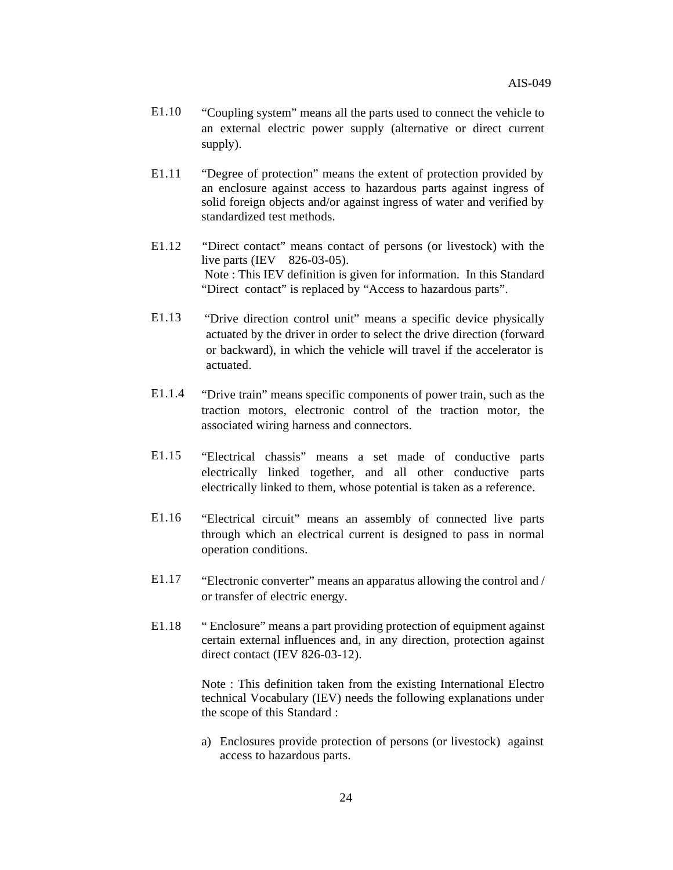- E1.10 "Coupling system" means all the parts used to connect the vehicle to an external electric power supply (alternative or direct current supply).
- E1.11 "Degree of protection" means the extent of protection provided by an enclosure against access to hazardous parts against ingress of solid foreign objects and/or against ingress of water and verified by standardized test methods.
- E1.12 "Direct contact" means contact of persons (or livestock) with the live parts (IEV 826-03-05). Note : This IEV definition is given for information. In this Standard "Direct contact" is replaced by "Access to hazardous parts".
- E1.13 "Drive direction control unit" means a specific device physically actuated by the driver in order to select the drive direction (forward or backward), in which the vehicle will travel if the accelerator is actuated.
- E1.1.4 "Drive train" means specific components of power train, such as the traction motors, electronic control of the traction motor, the associated wiring harness and connectors.
- E1.15 "Electrical chassis" means a set made of conductive parts electrically linked together, and all other conductive parts electrically linked to them, whose potential is taken as a reference.
- E1.16 "Electrical circuit" means an assembly of connected live parts through which an electrical current is designed to pass in normal operation conditions.
- E1.17 "Electronic converter" means an apparatus allowing the control and / or transfer of electric energy.
- E1.18 " Enclosure" means a part providing protection of equipment against certain external influences and, in any direction, protection against direct contact (IEV 826-03-12).

Note : This definition taken from the existing International Electro technical Vocabulary (IEV) needs the following explanations under the scope of this Standard :

a) Enclosures provide protection of persons (or livestock) against access to hazardous parts.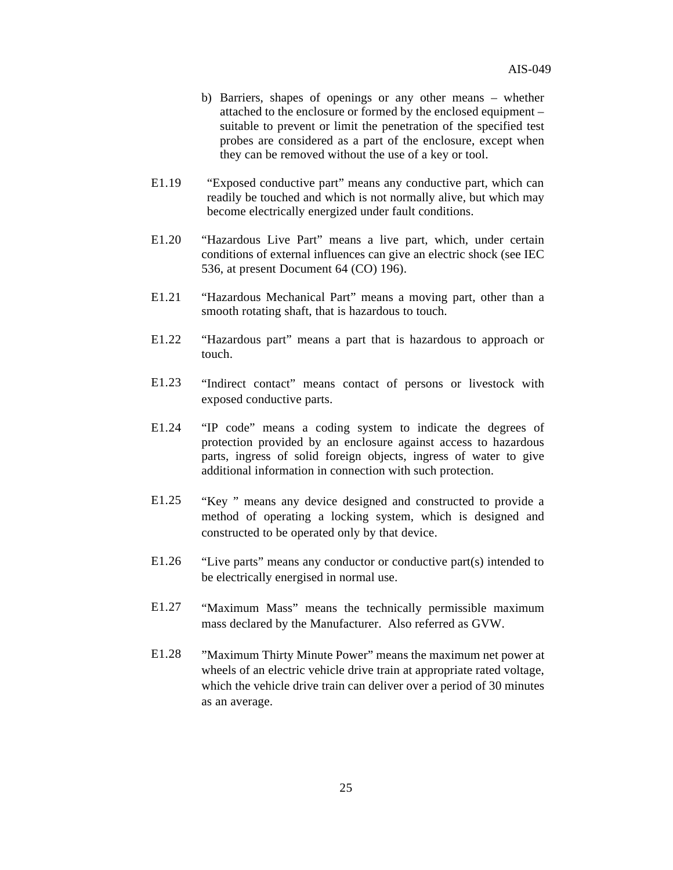- b) Barriers, shapes of openings or any other means whether attached to the enclosure or formed by the enclosed equipment – suitable to prevent or limit the penetration of the specified test probes are considered as a part of the enclosure, except when they can be removed without the use of a key or tool.
- E1.19 "Exposed conductive part" means any conductive part, which can readily be touched and which is not normally alive, but which may become electrically energized under fault conditions.
- E1.20 "Hazardous Live Part" means a live part, which, under certain conditions of external influences can give an electric shock (see IEC 536, at present Document 64 (CO) 196).
- E1.21 "Hazardous Mechanical Part" means a moving part, other than a smooth rotating shaft, that is hazardous to touch.
- E1.22 "Hazardous part" means a part that is hazardous to approach or touch.
- E1.23 "Indirect contact" means contact of persons or livestock with exposed conductive parts.
- E1.24 "IP code" means a coding system to indicate the degrees of protection provided by an enclosure against access to hazardous parts, ingress of solid foreign objects, ingress of water to give additional information in connection with such protection.
- E1.25 "Key " means any device designed and constructed to provide a method of operating a locking system, which is designed and constructed to be operated only by that device.
- E1.26 "Live parts" means any conductor or conductive part(s) intended to be electrically energised in normal use.
- E1.27 "Maximum Mass" means the technically permissible maximum mass declared by the Manufacturer. Also referred as GVW.
- E1.28 "Maximum Thirty Minute Power" means the maximum net power at wheels of an electric vehicle drive train at appropriate rated voltage, which the vehicle drive train can deliver over a period of 30 minutes as an average.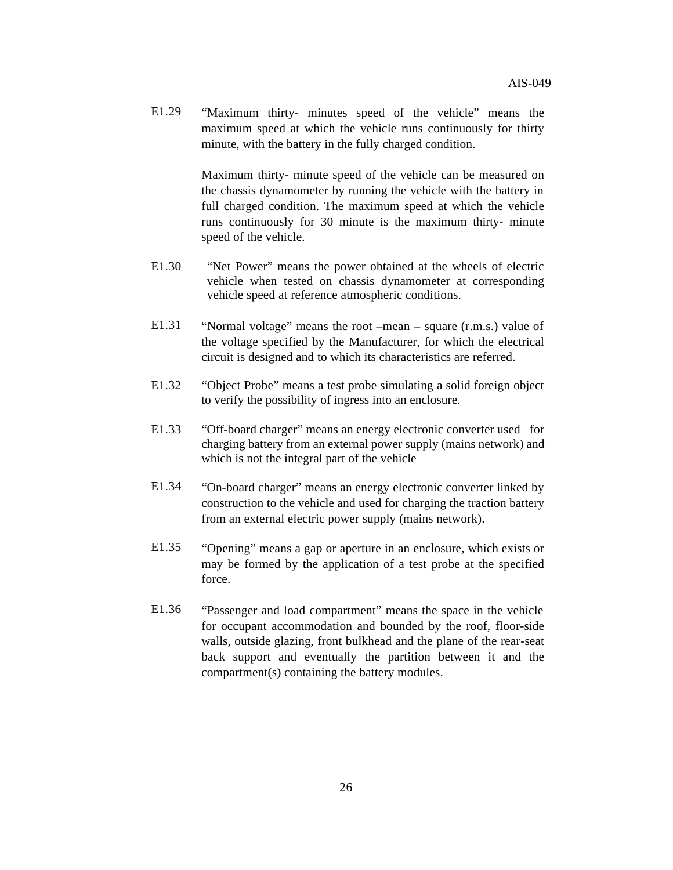E1.29 "Maximum thirty- minutes speed of the vehicle" means the maximum speed at which the vehicle runs continuously for thirty minute, with the battery in the fully charged condition.

> Maximum thirty- minute speed of the vehicle can be measured on the chassis dynamometer by running the vehicle with the battery in full charged condition. The maximum speed at which the vehicle runs continuously for 30 minute is the maximum thirty- minute speed of the vehicle.

- E1.30 "Net Power" means the power obtained at the wheels of electric vehicle when tested on chassis dynamometer at corresponding vehicle speed at reference atmospheric conditions.
- E1.31 "Normal voltage" means the root –mean square (r.m.s.) value of the voltage specified by the Manufacturer, for which the electrical circuit is designed and to which its characteristics are referred.
- E1.32 "Object Probe" means a test probe simulating a solid foreign object to verify the possibility of ingress into an enclosure.
- E1.33 "Off-board charger" means an energy electronic converter used for charging battery from an external power supply (mains network) and which is not the integral part of the vehicle
- E1.34 "On-board charger" means an energy electronic converter linked by construction to the vehicle and used for charging the traction battery from an external electric power supply (mains network).
- E1.35 "Opening" means a gap or aperture in an enclosure, which exists or may be formed by the application of a test probe at the specified force.
- E1.36 "Passenger and load compartment" means the space in the vehicle for occupant accommodation and bounded by the roof, floor-side walls, outside glazing, front bulkhead and the plane of the rear-seat back support and eventually the partition between it and the compartment(s) containing the battery modules.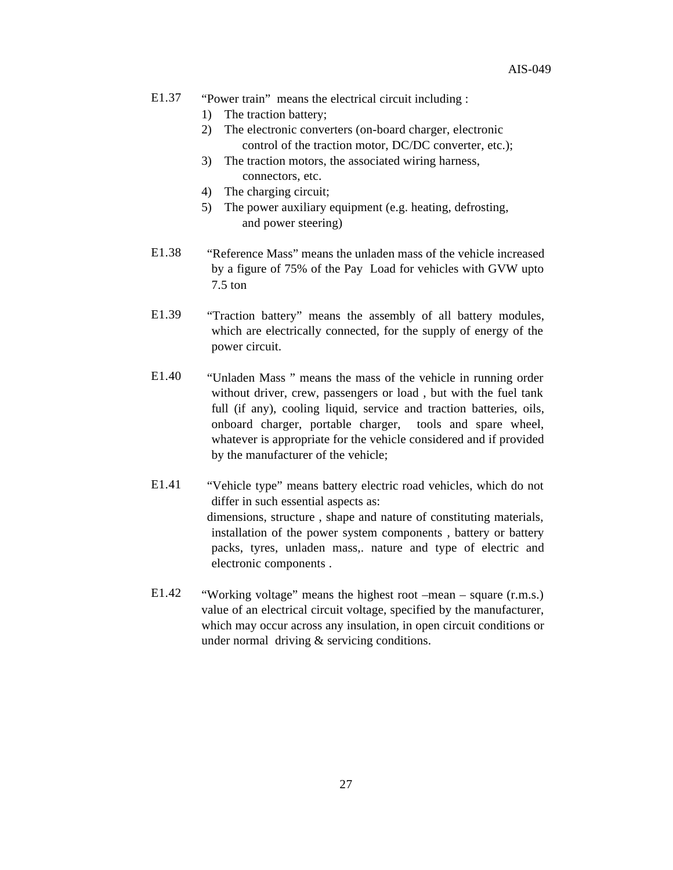- E1.37 "Power train" means the electrical circuit including :
	- 1) The traction battery;
	- 2) The electronic converters (on-board charger, electronic control of the traction motor, DC/DC converter, etc.);
	- 3) The traction motors, the associated wiring harness, connectors, etc.
	- 4) The charging circuit;
	- 5) The power auxiliary equipment (e.g. heating, defrosting, and power steering)
- E1.38 "Reference Mass" means the unladen mass of the vehicle increased by a figure of 75% of the Pay Load for vehicles with GVW upto 7.5 ton
- E1.39 "Traction battery" means the assembly of all battery modules, which are electrically connected, for the supply of energy of the power circuit.
- E1.40 "Unladen Mass " means the mass of the vehicle in running order without driver, crew, passengers or load, but with the fuel tank full (if any), cooling liquid, service and traction batteries, oils, onboard charger, portable charger, tools and spare wheel, whatever is appropriate for the vehicle considered and if provided by the manufacturer of the vehicle;
- E1.41 "Vehicle type" means battery electric road vehicles, which do not differ in such essential aspects as: dimensions, structure , shape and nature of constituting materials, installation of the power system components , battery or battery packs, tyres, unladen mass,. nature and type of electric and electronic components .
- E1.42 "Working voltage" means the highest root –mean square (r.m.s.) value of an electrical circuit voltage, specified by the manufacturer, which may occur across any insulation, in open circuit conditions or under normal driving & servicing conditions.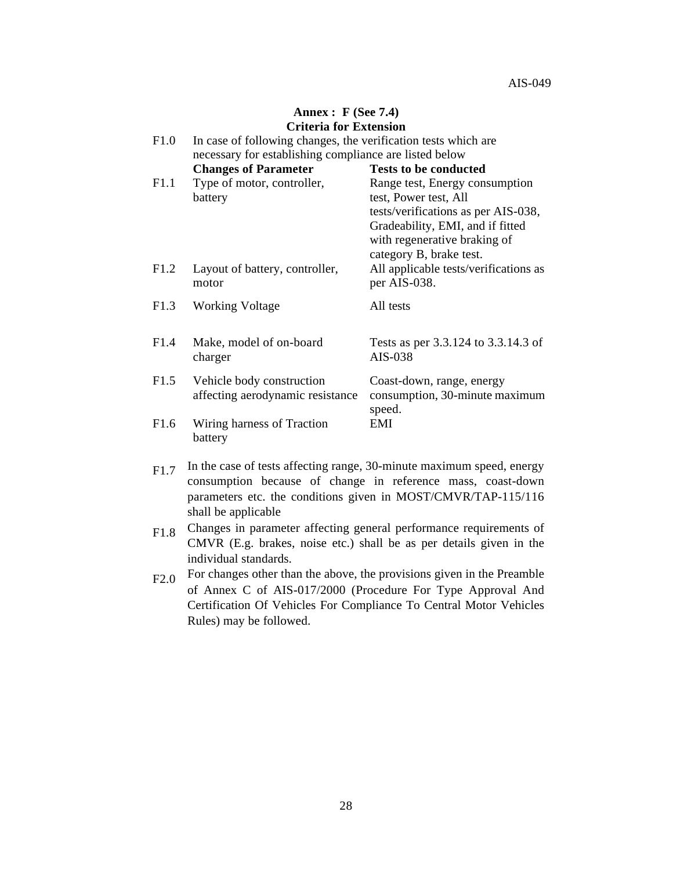#### **Annex : F (See 7.4) Criteria for Extension**

| F1.0 | In case of following changes, the verification tests which are<br>necessary for establishing compliance are listed below |                                                                                                                                                                                               |
|------|--------------------------------------------------------------------------------------------------------------------------|-----------------------------------------------------------------------------------------------------------------------------------------------------------------------------------------------|
|      | <b>Changes of Parameter</b>                                                                                              | <b>Tests to be conducted</b>                                                                                                                                                                  |
| F1.1 | Type of motor, controller,<br>battery                                                                                    | Range test, Energy consumption<br>test, Power test, All<br>tests/verifications as per AIS-038,<br>Gradeability, EMI, and if fitted<br>with regenerative braking of<br>category B, brake test. |
| F1.2 | Layout of battery, controller,<br>motor                                                                                  | All applicable tests/verifications as<br>per AIS-038.                                                                                                                                         |
| F1.3 | <b>Working Voltage</b>                                                                                                   | All tests                                                                                                                                                                                     |
| F1.4 | Make, model of on-board<br>charger                                                                                       | Tests as per 3.3.124 to 3.3.14.3 of<br>AIS-038                                                                                                                                                |
| F1.5 | Vehicle body construction<br>affecting aerodynamic resistance                                                            | Coast-down, range, energy<br>consumption, 30-minute maximum<br>speed.                                                                                                                         |
| F1.6 | Wiring harness of Traction<br>battery                                                                                    | EMI                                                                                                                                                                                           |

- F1.7 In the case of tests affecting range, 30-minute maximum speed, energy consumption because of change in reference mass, coast-down parameters etc. the conditions given in MOST/CMVR/TAP-115/116 shall be applicable
- F1.8 Changes in parameter affecting general performance requirements of CMVR (E.g. brakes, noise etc.) shall be as per details given in the individual standards.
- F2.0 For changes other than the above, the provisions given in the Preamble of Annex C of AIS-017/2000 (Procedure For Type Approval And Certification Of Vehicles For Compliance To Central Motor Vehicles Rules) may be followed.